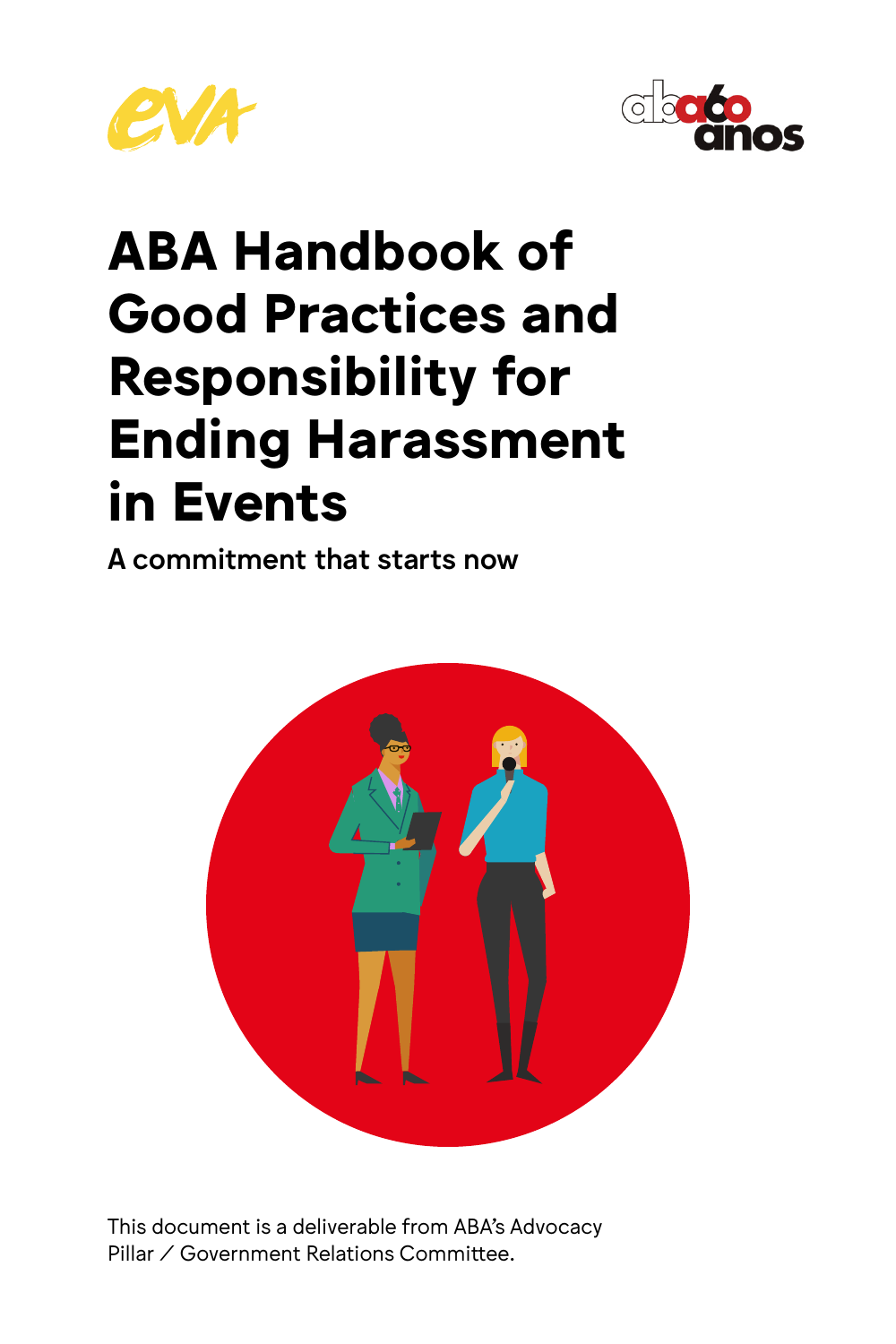A commitment that starts now



#### This document is a deliverable from ABA's Advocacy Pillar / Government Relations Committee.





# **ABA Handbook of Good Practices and Responsibility for Ending Harassment in Events**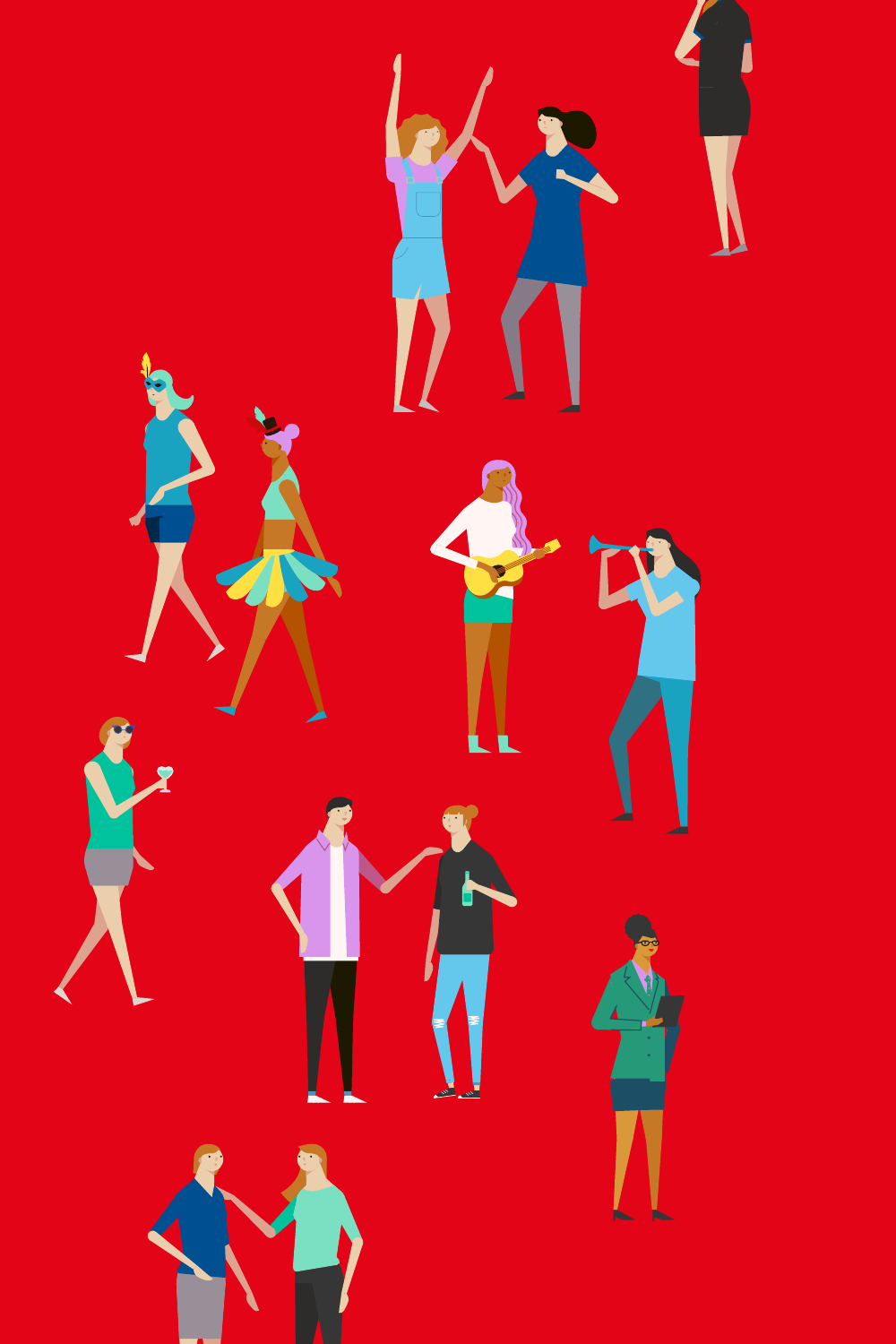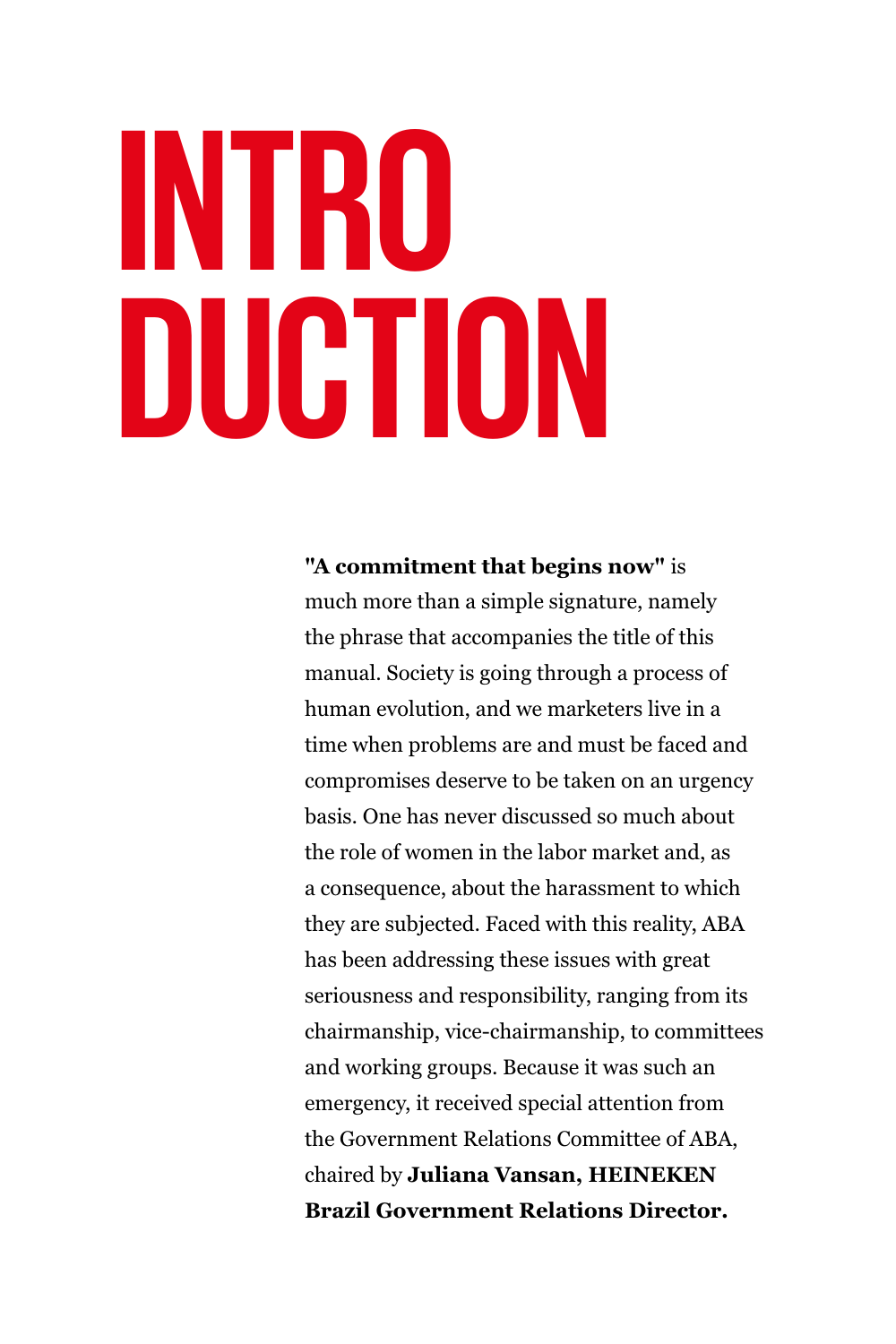# **INTRO DUCTION**

**"A commitment that begins now"** is much more than a simple signature, namely the phrase that accompanies the title of this manual. Society is going through a process of human evolution, and we marketers live in a time when problems are and must be faced and compromises deserve to be taken on an urgency basis. One has never discussed so much about the role of women in the labor market and, as a consequence, about the harassment to which they are subjected. Faced with this reality, ABA has been addressing these issues with great seriousness and responsibility, ranging from its chairmanship, vice-chairmanship, to committees and working groups. Because it was such an emergency, it received special attention from the Government Relations Committee of ABA, chaired by **Juliana Vansan, HEINEKEN Brazil Government Relations Director.**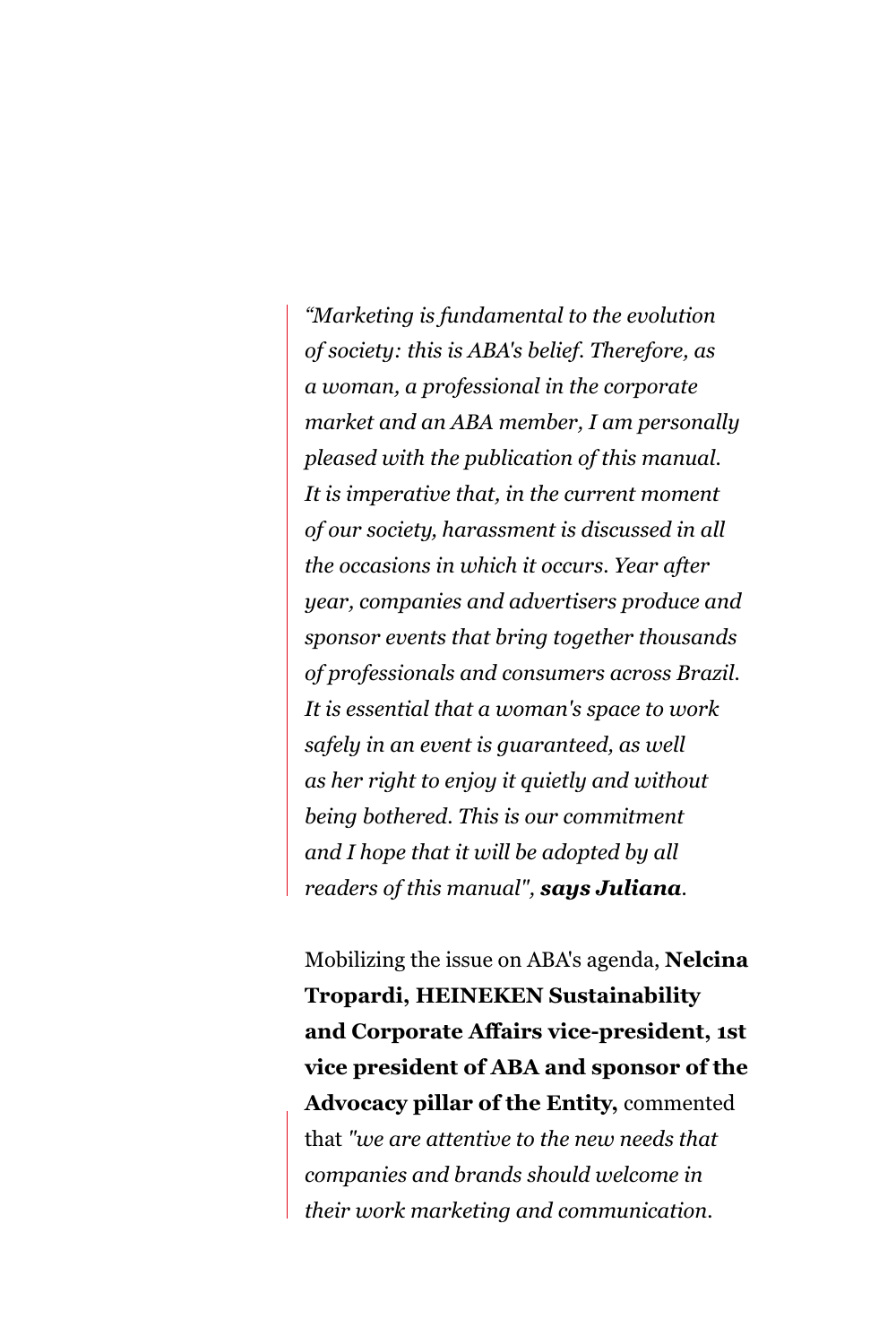*Marketing is fundamental to the evolution*<br>*of society: this is ABA's belief. Therefore, as*<br>*a woman, a professional in the corporate*<br>*market and an ABA member, I am personal*<br>*pleased with the publication of this manua of society: this is ABA's belief. Therefore, as a woman, a professional in the corporate market and an ABA member, I am personally pleased with the publication of this manual. It is imperative that, in the current moment of our society, harassment is discussed in all the occasions in which it occurs. Year after year, companies and advertisers produce and sponsor events that bring together thousands of professionals and consumers across Brazil. It is essential that a woman's space to work safely in an event is guaranteed, as well as her right to enjoy it quietly and without being bothered. This is our commitment and I hope that it will be adopted by all readers of this manual", says Juliana.* 

> Mobilizing the issue on ABA's agenda, **Nelcina Tropardi, HEINEKEN Sustainability**

**and Corporate Affairs vice-president, 1st vice president of ABA and sponsor of the Advocacy pillar of the Entity,** commented that *"we are attentive to the new needs that companies and brands should welcome in their work marketing and communication.*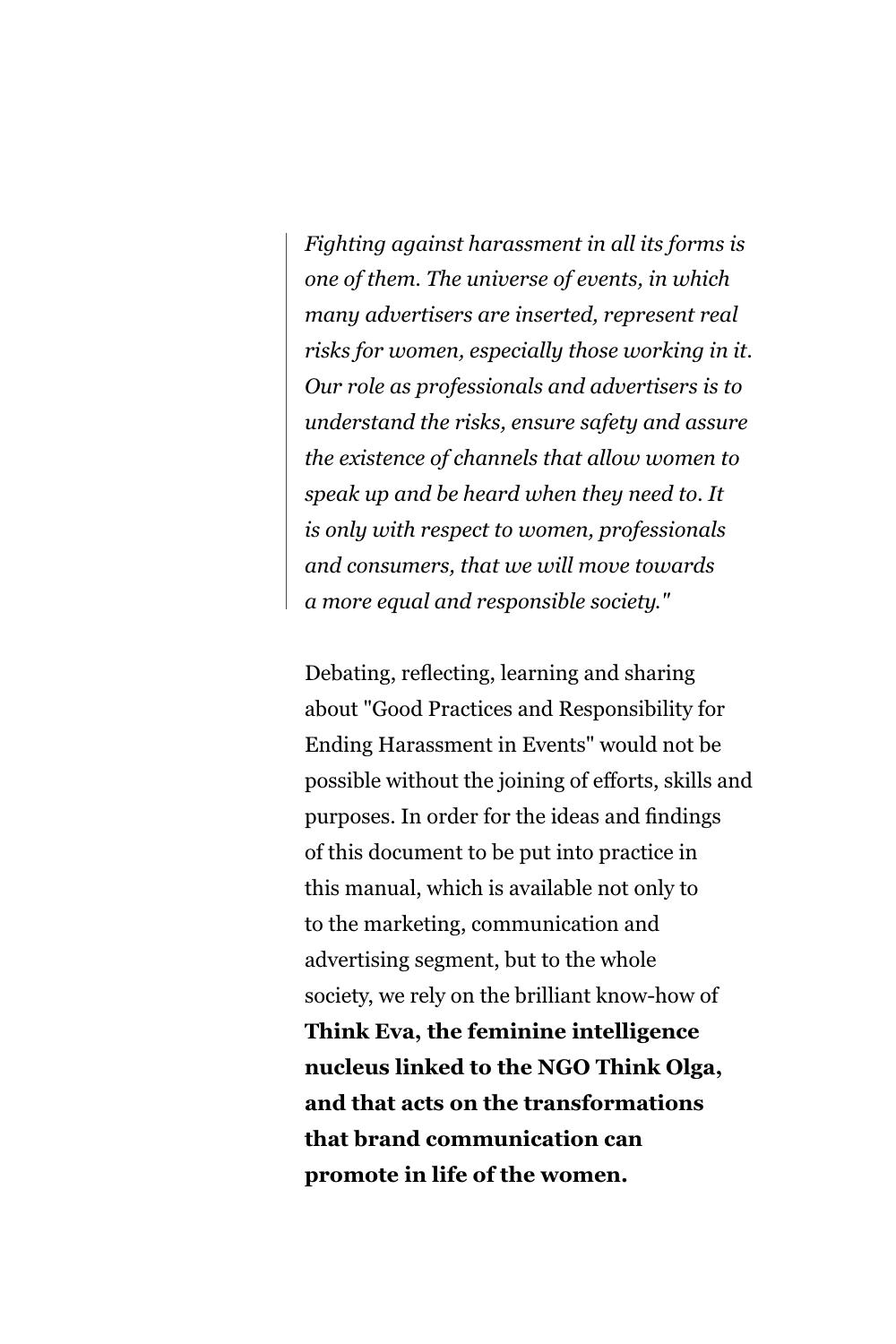*Fighting against harassment in all its forms is one of them. The universe of events, in which many advertisers are inserted, represent real risks for women, especially those working in it. Our role as professionals and advertisers is to understand the risks, ensure safety and assure the existence of channels that allow women to speak up and be heard when they need to. It is only with respect to women, professionals and consumers, that we will move towards a more equal and responsible society."*

Debating, reflecting, learning and sharing about "Good Practices and Responsibility for Ending Harassment in Events" would not be possible without the joining of efforts, skills and purposes. In order for the ideas and findings of this document to be put into practice in this manual, which is available not only to to the marketing, communication and advertising segment, but to the whole society, we rely on the brilliant know-how of **Think Eva, the feminine intelligence nucleus linked to the NGO Think Olga, and that acts on the transformations that brand communication can promote in life of the women.**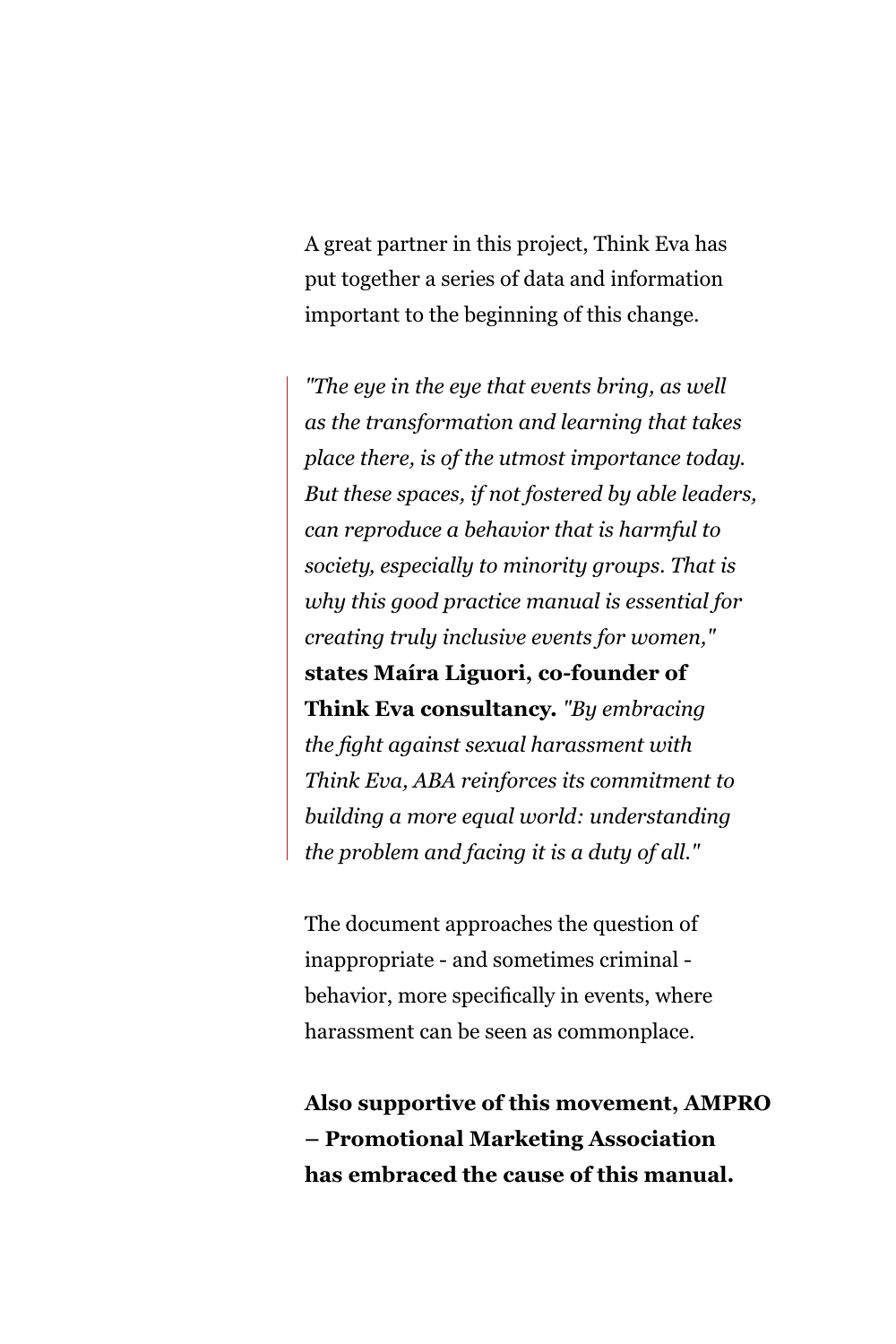A great partner in this project, Think Eva has put together a series of data and information important to the beginning of this change.

*"The eye in the eye that events bring, as well as the transformation and learning that takes place there, is of the utmost importance today. But these spaces, if not fostered by able leaders, can reproduce a behavior that is harmful to society, especially to minority groups. That is why this good practice manual is essential for creating truly inclusive events for women,"*  **states Maíra Liguori, co-founder of Think Eva consultancy.** *"By embracing the fight against sexual harassment with Think Eva, ABA reinforces its commitment to building a more equal world: understanding the problem and facing it is a duty of all."*

The document approaches the question of inappropriate - and sometimes criminal behavior, more specifically in events, where

harassment can be seen as commonplace.

**Also supportive of this movement, AMPRO – Promotional Marketing Association has embraced the cause of this manual.**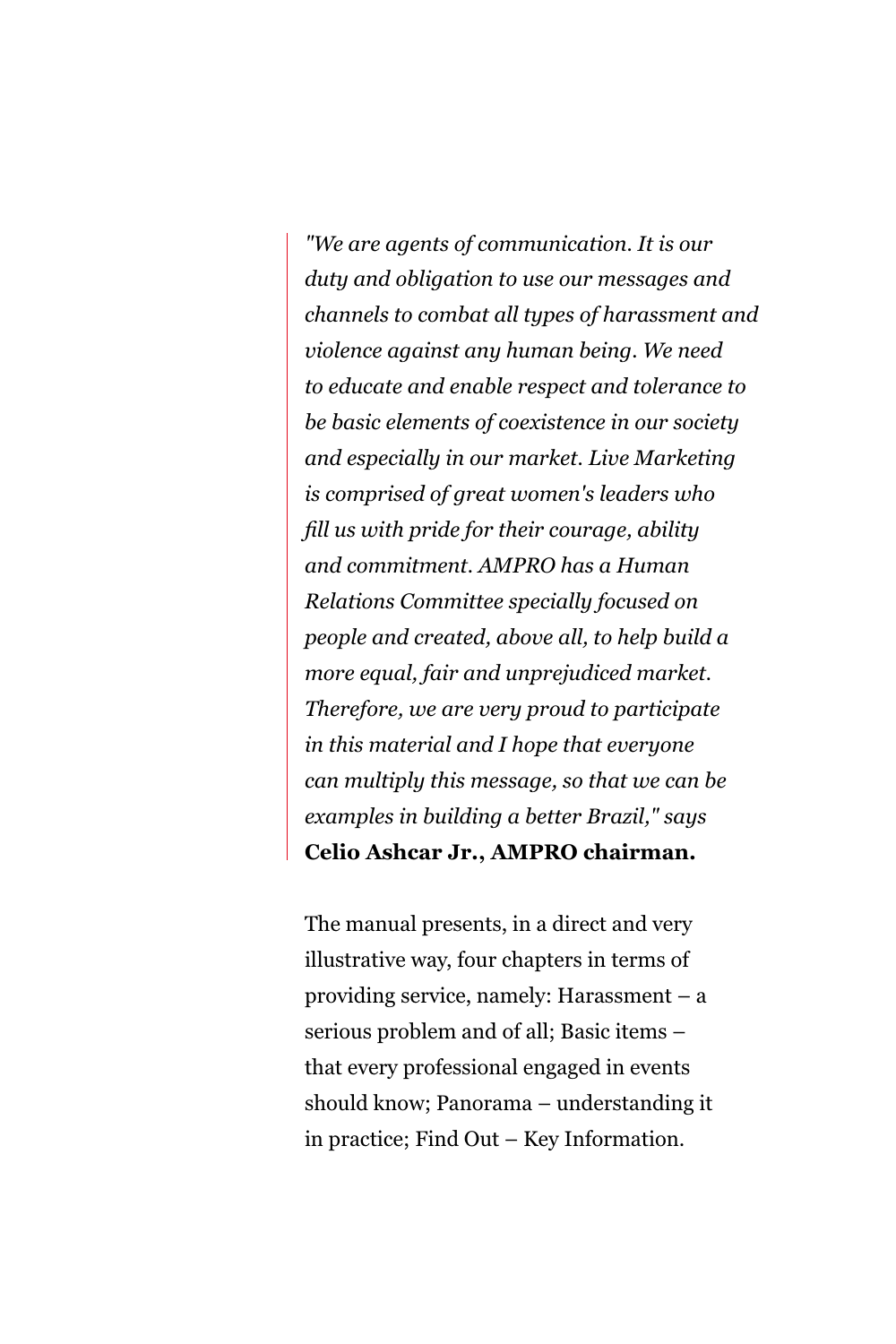*"We are agents of communication. It is our duty and obligation to use our messages and channels to combat all types of harassment and violence against any human being. We need to educate and enable respect and tolerance to be basic elements of coexistence in our society and especially in our market. Live Marketing is comprised of great women's leaders who fill us with pride for their courage, ability and commitment. AMPRO has a Human Relations Committee specially focused on people and created, above all, to help build a more equal, fair and unprejudiced market. Therefore, we are very proud to participate in this material and I hope that everyone can multiply this message, so that we can be examples in building a better Brazil," says*  **Celio Ashcar Jr., AMPRO chairman.**

The manual presents, in a direct and very illustrative way, four chapters in terms of providing service, namely: Harassment – a

serious problem and of all; Basic items – that every professional engaged in events should know; Panorama – understanding it in practice; Find Out – Key Information.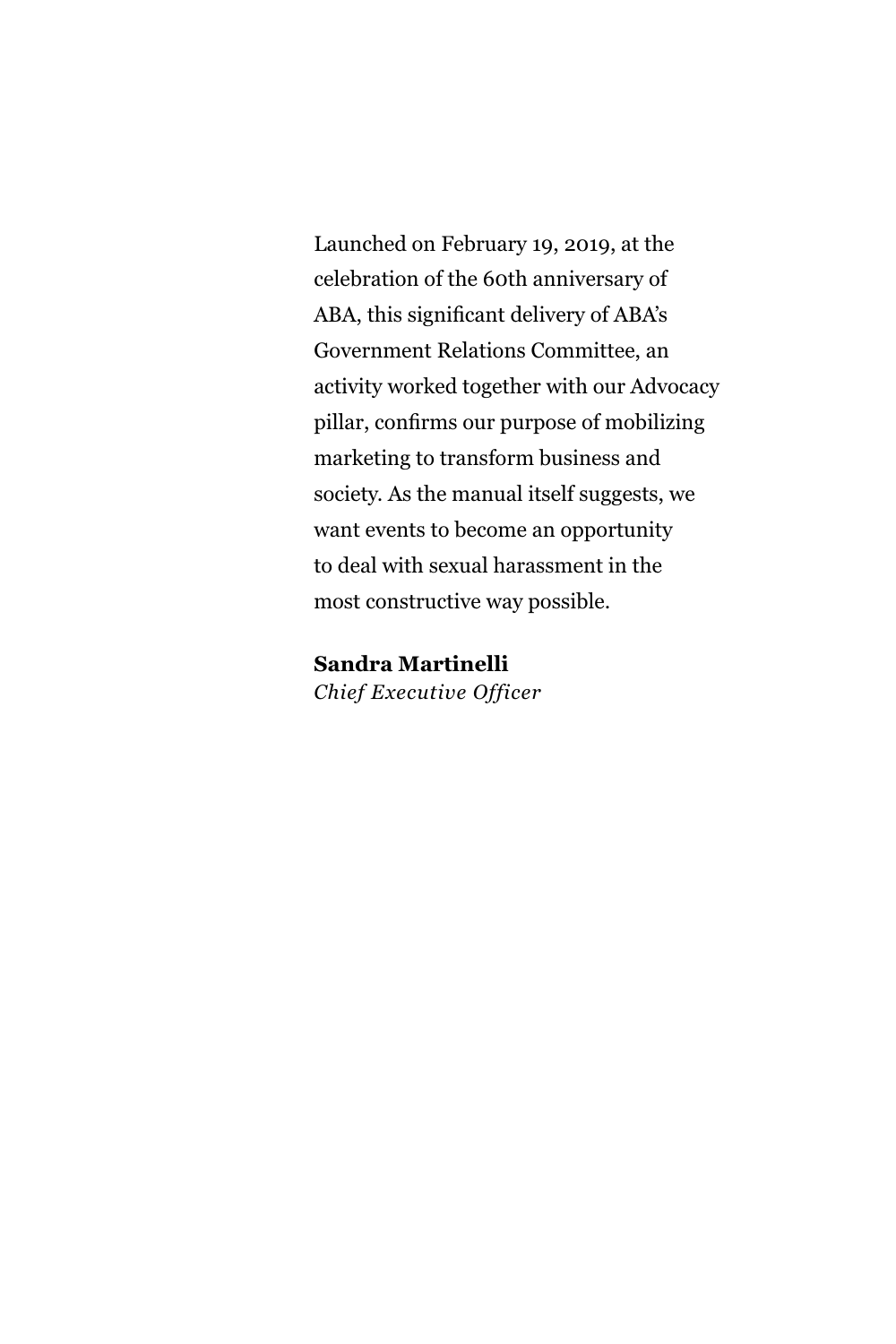Launched on February 19, 2019, at the celebration of the 60th anniversary of ABA, this significant delivery of ABA's Government Relations Committee, an activity worked together with our Advocacy pillar, confirms our purpose of mobilizing marketing to transform business and society. As the manual itself suggests, we want events to become an opportunity to deal with sexual harassment in the most constructive way possible.

**Sandra Martinelli** *Chief Executive Officer*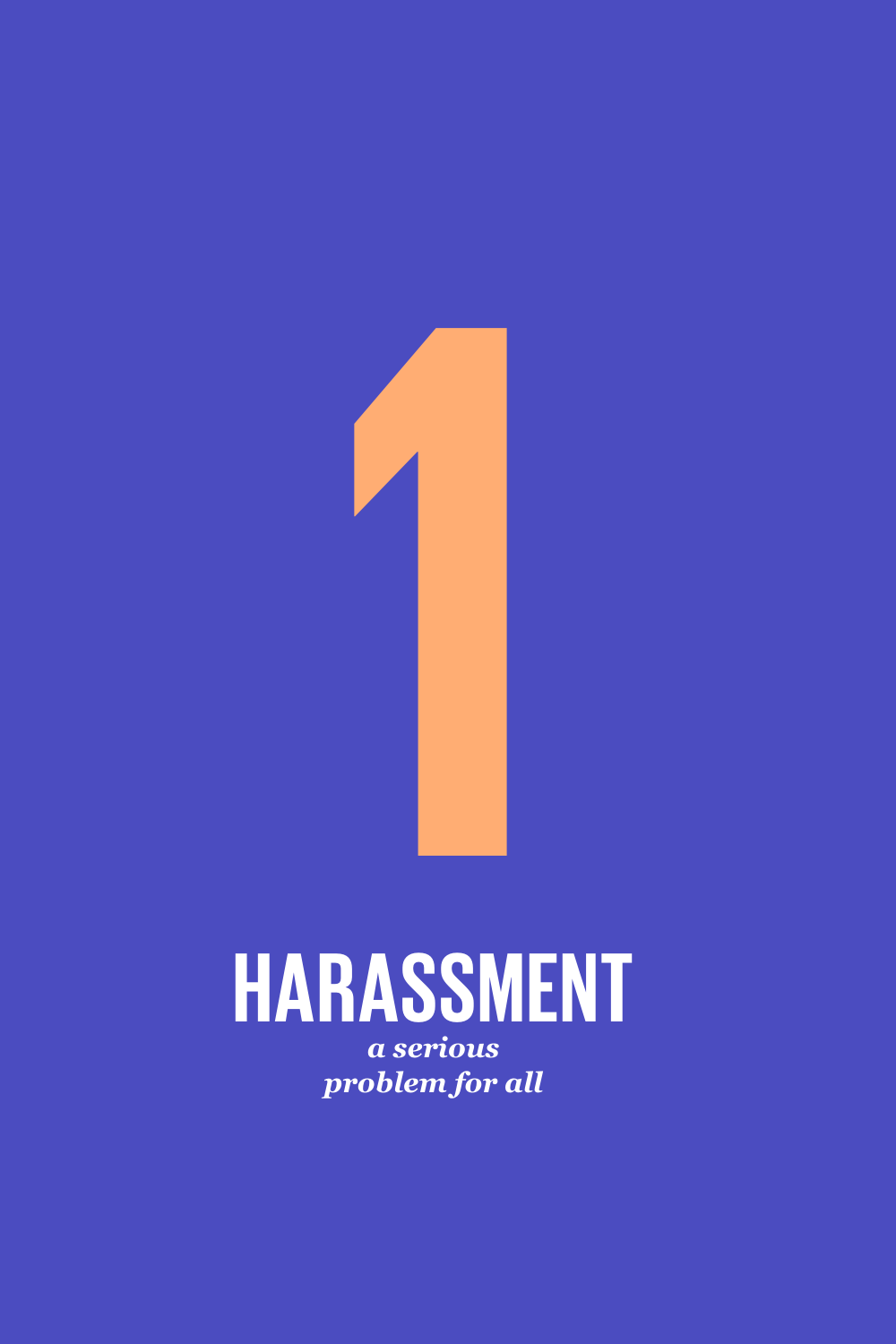

## *a serious problem for all*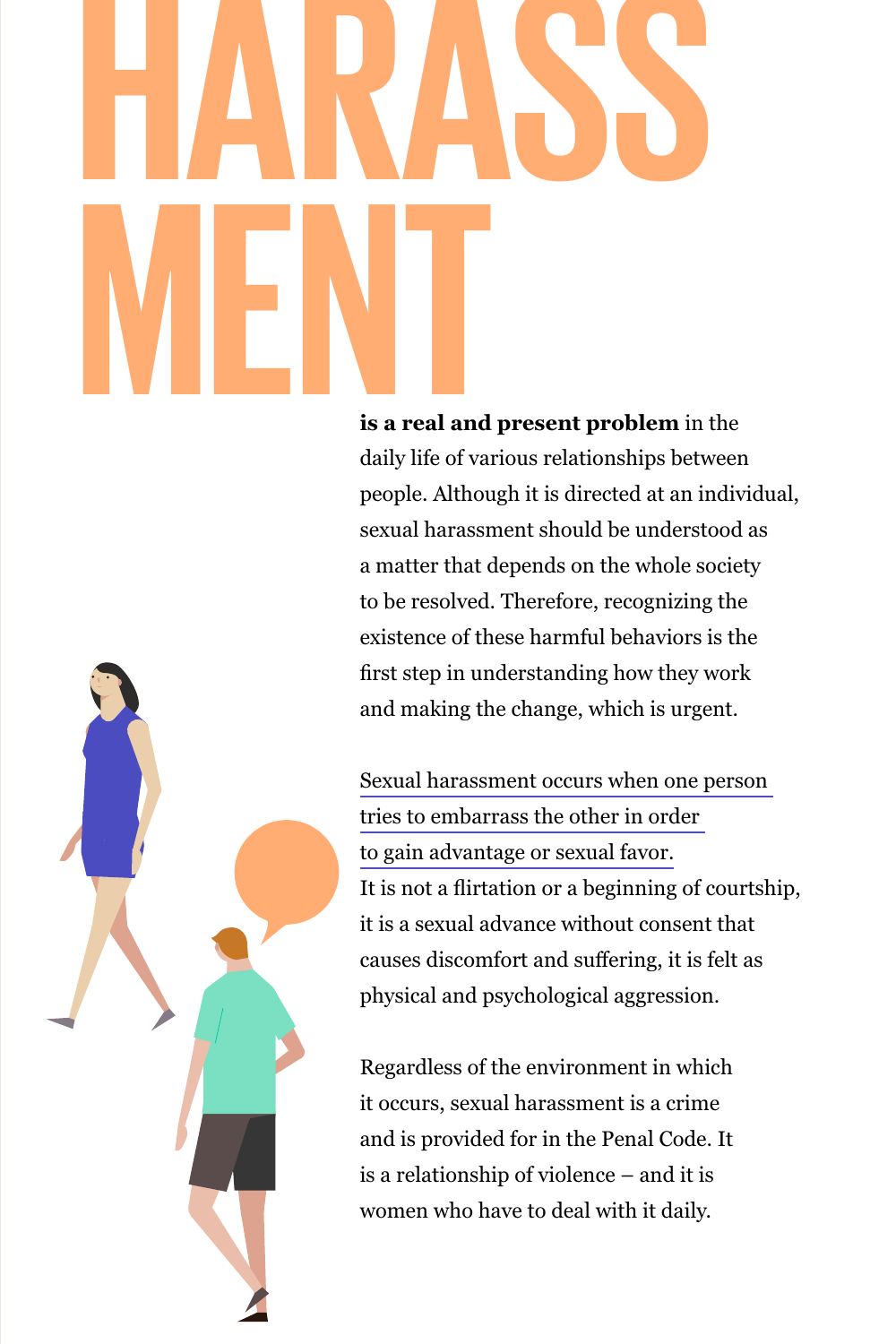**is a real and present problem** in the daily life of various relationships between people. Although it is directed at an individual, sexual harassment should be understood as a matter that depends on the whole society to be resolved. Therefore, recognizing the existence of these harmful behaviors is the first step in understanding how they work and making the change, which is urgent.

# **HARASS MENT**

Sexual harassment occurs when one person tries to embarrass the other in order to gain advantage or sexual favor. It is not a flirtation or a beginning of courtship, it is a sexual advance without consent that causes discomfort and suffering, it is felt as physical and psychological aggression.



Regardless of the environment in which it occurs, sexual harassment is a crime and is provided for in the Penal Code. It is a relationship of violence – and it is women who have to deal with it daily.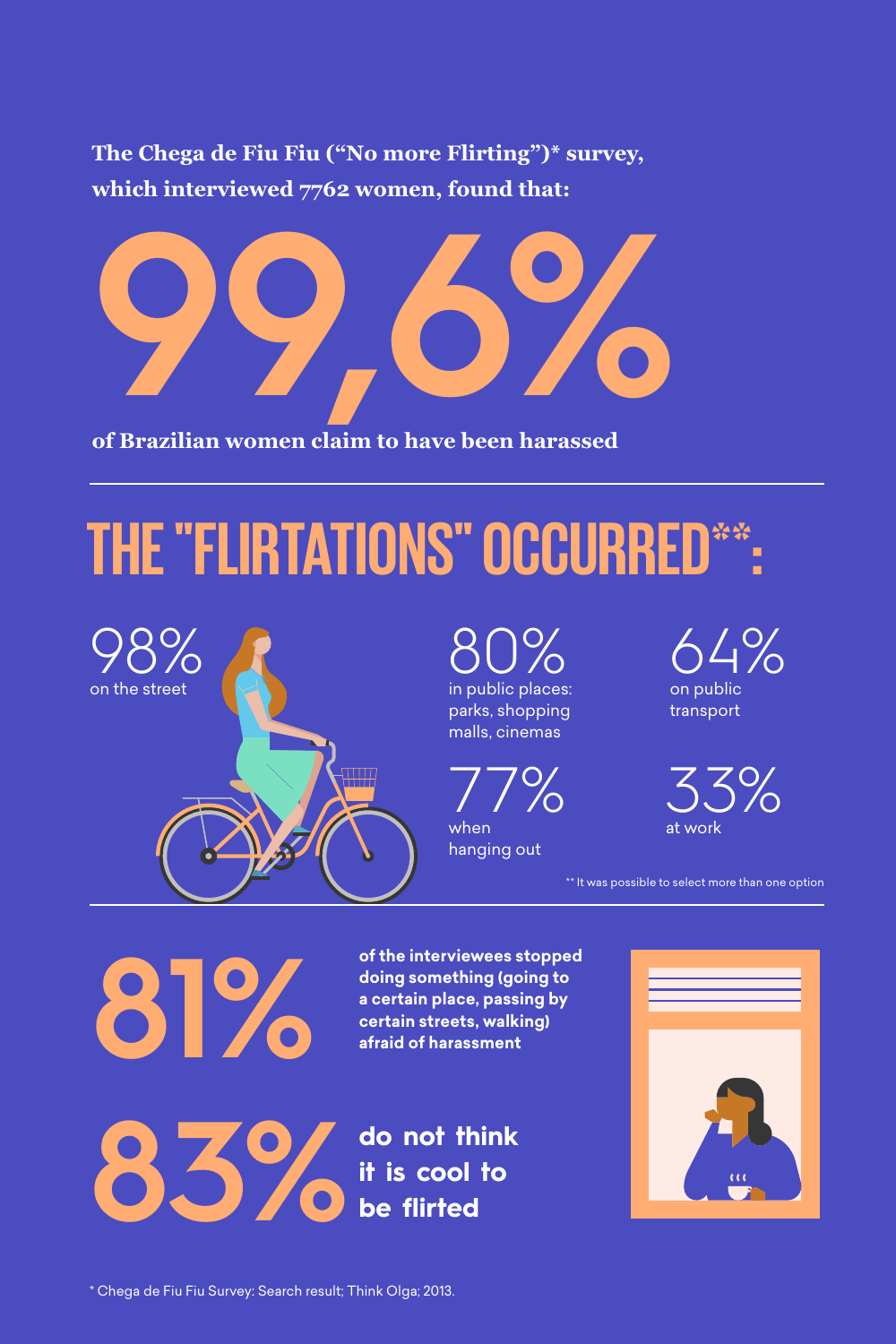\*\* It was possible to select more than one option

\* Chega de Fiu Fiu Survey: Search result; Think Olga; 2013.





**The Chega de Fiu Fiu ("No more Flirting")\* survey, which interviewed 7762 women, found that:**





**of the interviewees stopped doing something (going to a certain place, passing by certain streets, walking) afraid of harassment**





77% when

hanging out

64% on public transport

80% in public places: parks, shopping malls, cinemas

> 33% at work

# **THE "FLIRTATIONS" OCCURRED\*\*:**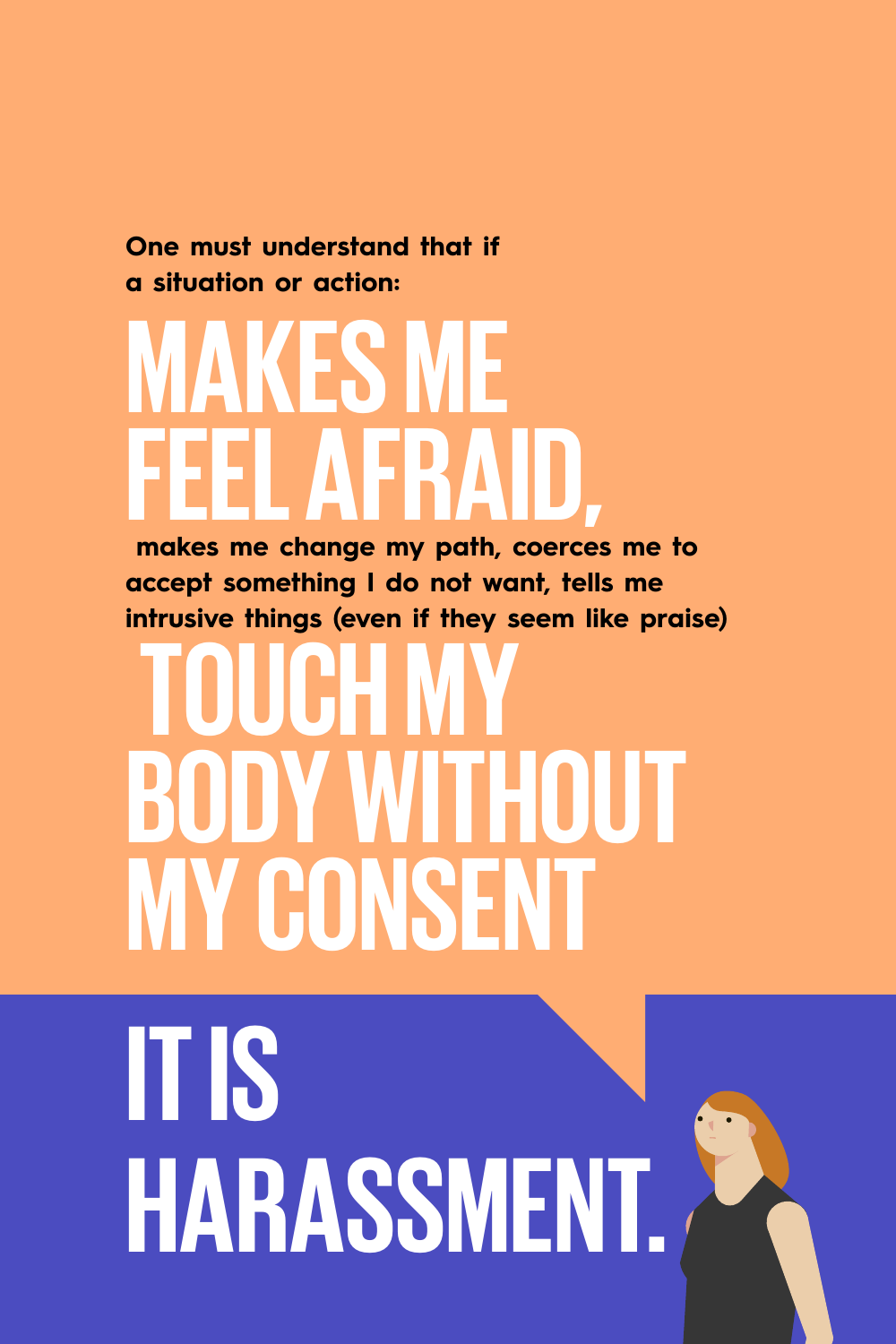### **One must understand that if a situation or action:**

# **MAKES ME FEEL AFRAID,**

# **THIM BOWITHOUT MY CONSENT**

 **makes me change my path, coerces me to accept something I do not want, tells me intrusive things (even if they seem like praise)**

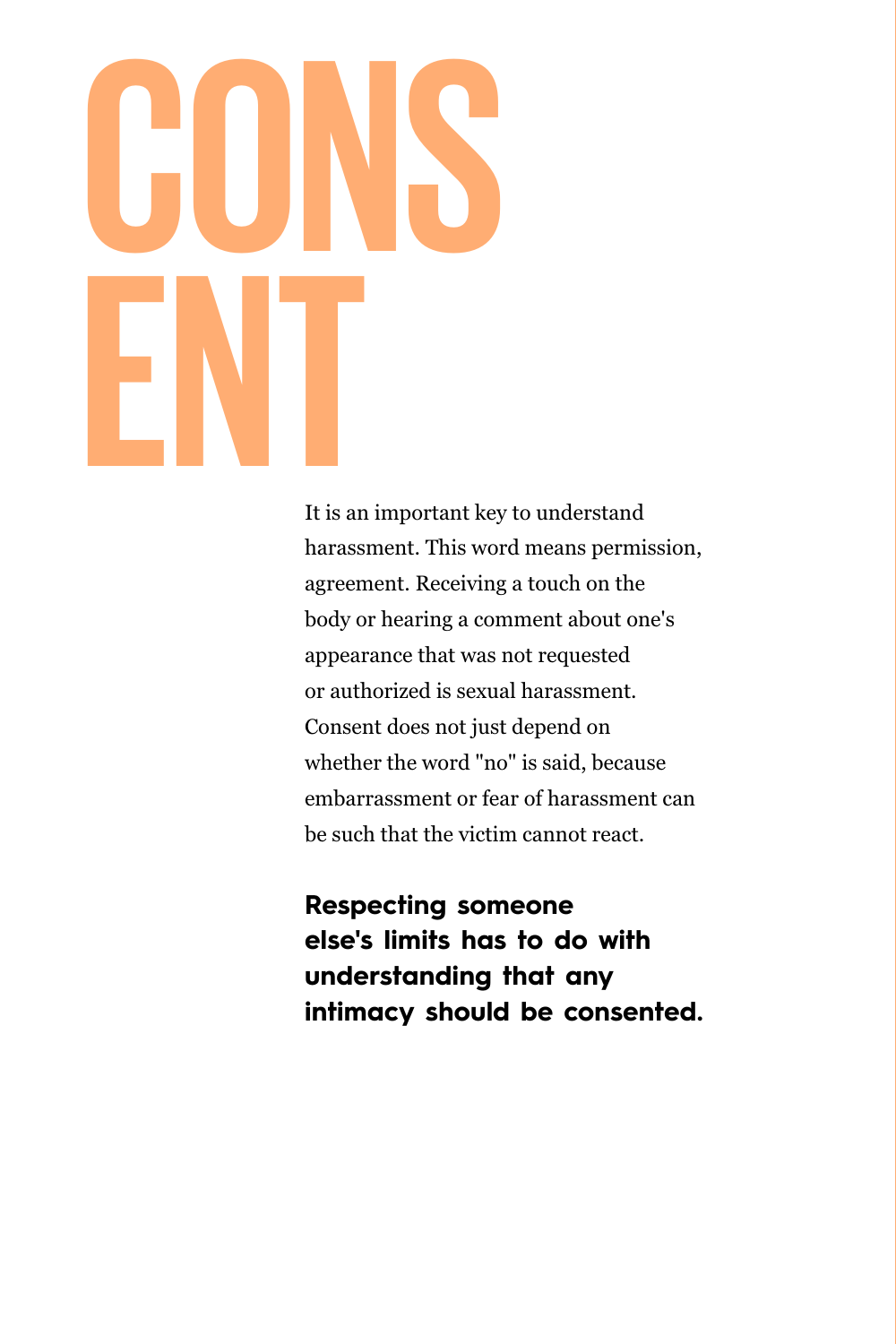It is an important key to understand harassment. This word means permission, agreement. Receiving a touch on the body or hearing a comment about one's appearance that was not requested or authorized is sexual harassment. Consent does not just depend on whether the word "no" is said, because embarrassment or fear of harassment can be such that the victim cannot react.

### **Respecting someone else's limits has to do with understanding that any intimacy should be consented.**

# **CONS ENT**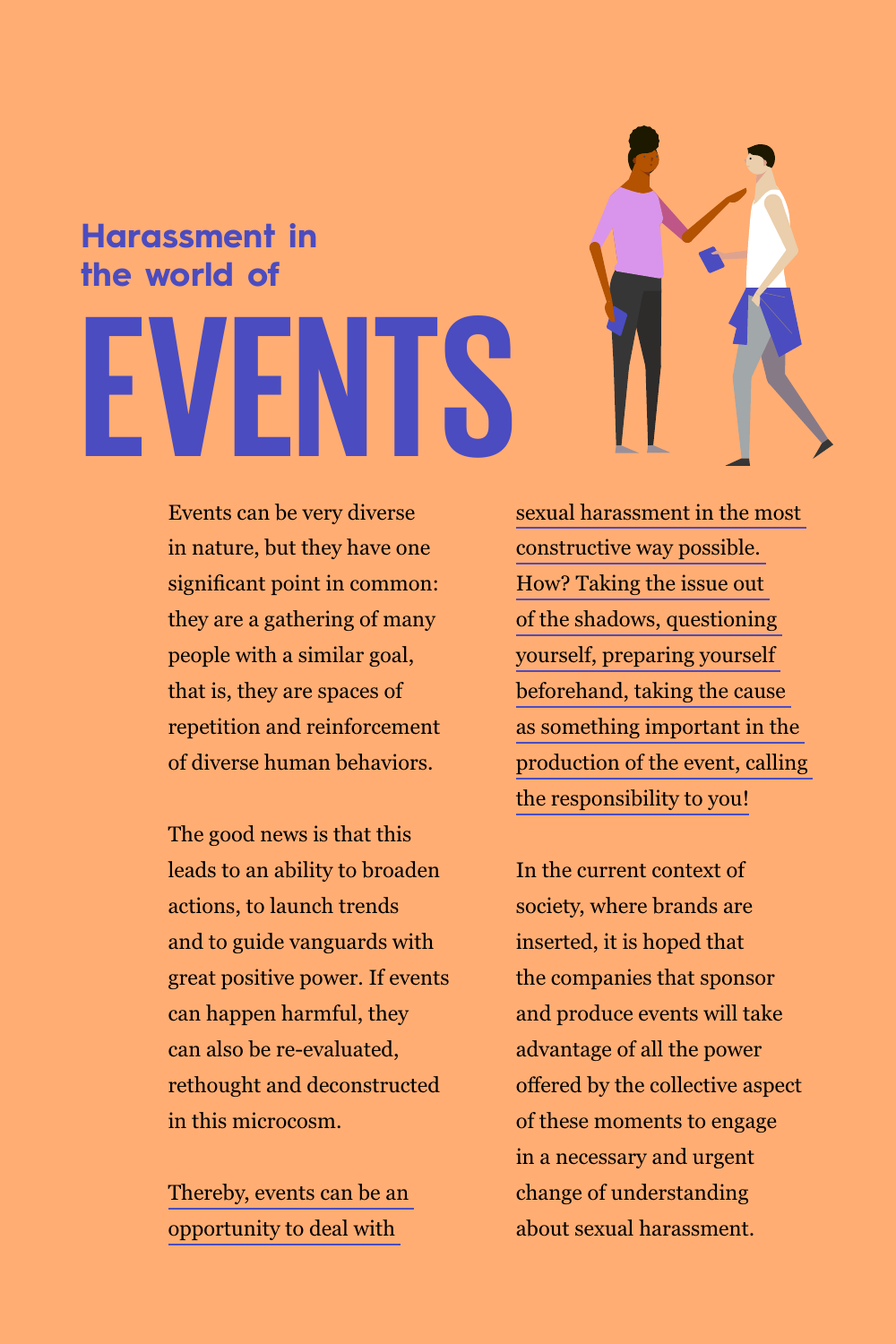Events can be very diverse in nature, but they have one significant point in common: they are a gathering of many people with a similar goal, that is, they are spaces of repetition and reinforcement of diverse human behaviors.

The good news is that this leads to an ability to broaden actions, to launch trends and to guide vanguards with great positive power. If events can happen harmful, they can also be re-evaluated, rethought and deconstructed in this microcosm.

Thereby, events can be an

opportunity to deal with

sexual harassment in the most constructive way possible. How? Taking the issue out of the shadows, questioning yourself, preparing yourself beforehand, taking the cause as something important in the production of the event, calling the responsibility to you!

In the current context of society, where brands are inserted, it is hoped that the companies that sponsor and produce events will take advantage of all the power offered by the collective aspect of these moments to engage in a necessary and urgent change of understanding about sexual harassment.

### **Harassment in the world of**

**EVENTS**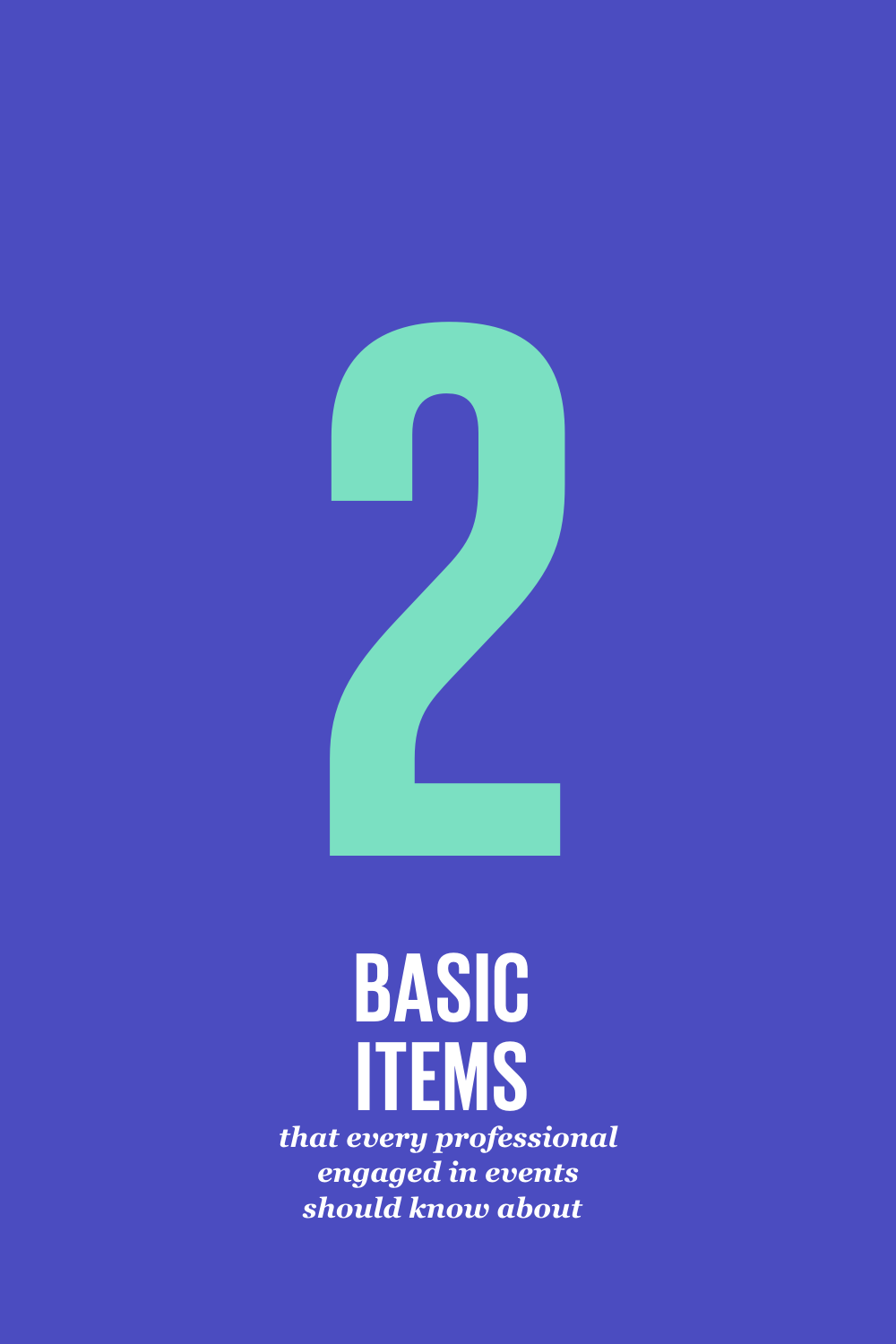

# **BASIC**

**ITEMS**  *that every professional engaged in events should know about*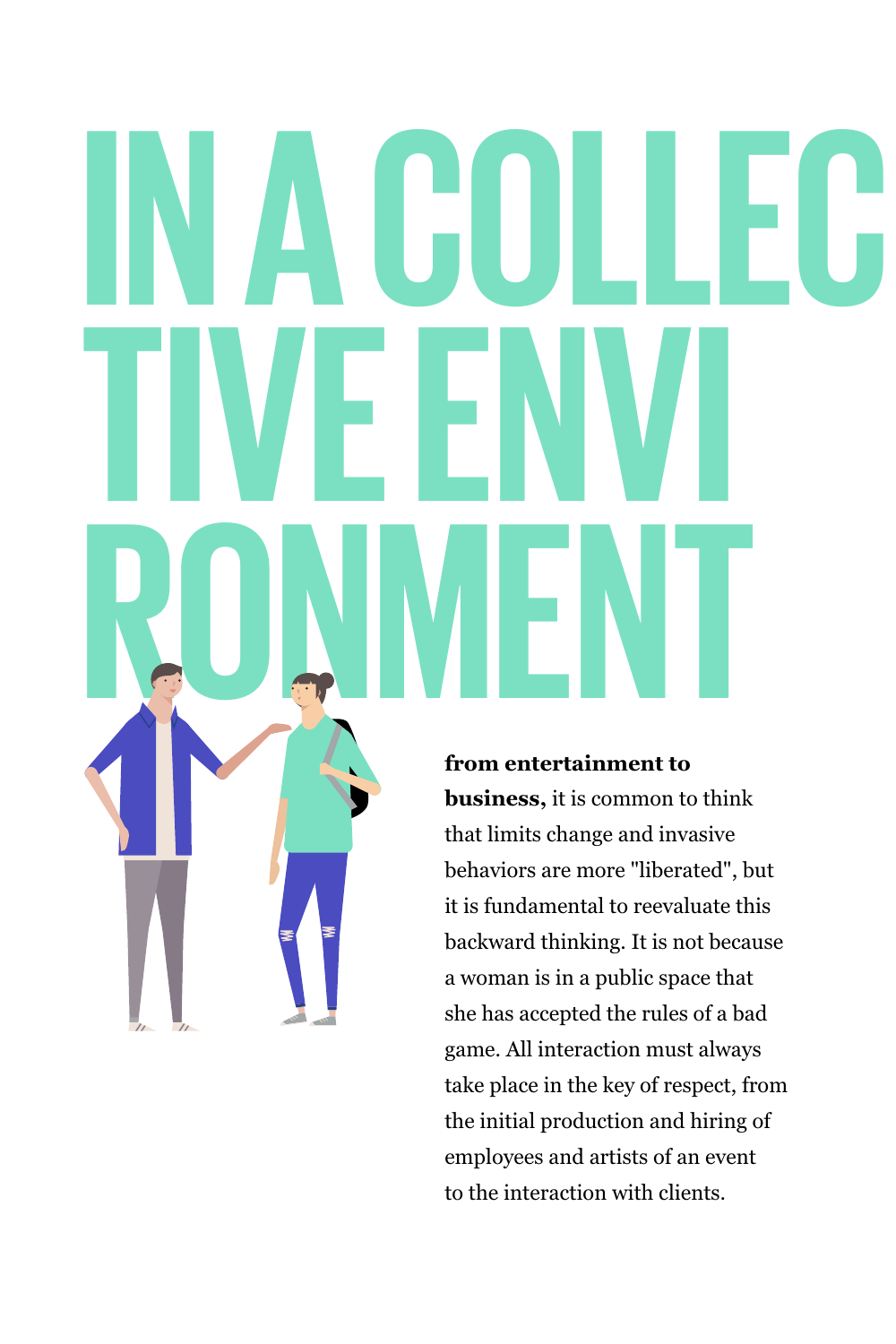**from entertainment to business,** it is common to think that limits change and invasive behaviors are more "liberated", but it is fundamental to reevaluate this backward thinking. It is not because a woman is in a public space that



she has accepted the rules of a bad

game. All interaction must always take place in the key of respect, from the initial production and hiring of employees and artists of an event to the interaction with clients.

# **IN A COLLEC TIVE ENVI RONMENT**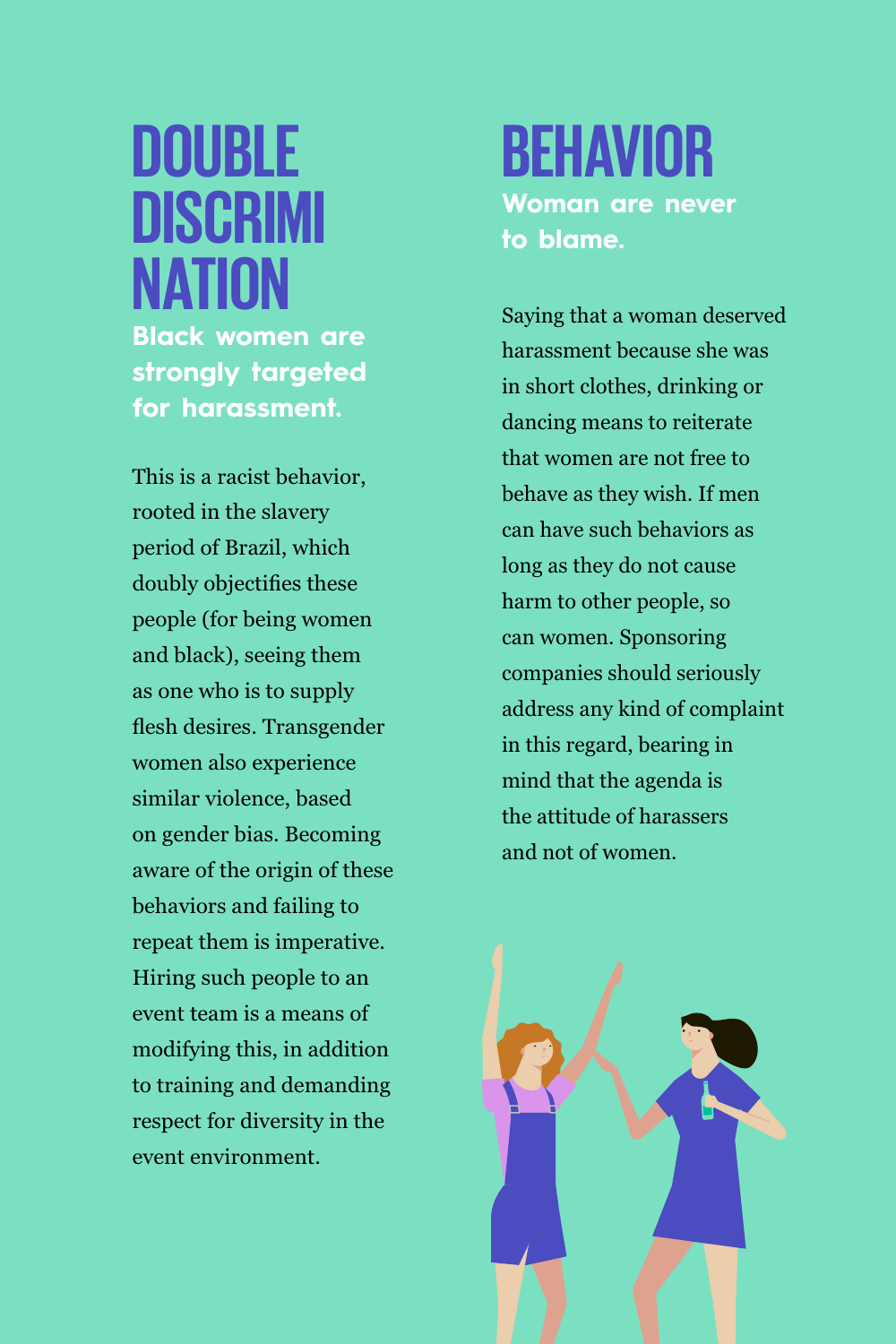# **DOUBLE DISCRIMI NATION**

**Black women are strongly targeted for harassment.**

This is a racist behavior, rooted in the slavery period of Brazil, which doubly objectifies these people (for being women and black), seeing them as one who is to supply flesh desires. Transgender women also experience similar violence, based on gender bias. Becoming aware of the origin of these behaviors and failing to repeat them is imperative. Hiring such people to an event team is a means of modifying this, in addition to training and demanding respect for diversity in the event environment.

## **BEHAVIOR Woman are never to blame.**

Saying that a woman deserved harassment because she was in short clothes, drinking or dancing means to reiterate that women are not free to behave as they wish. If men can have such behaviors as long as they do not cause harm to other people, so can women. Sponsoring companies should seriously address any kind of complaint in this regard, bearing in mind that the agenda is the attitude of harassers and not of women.

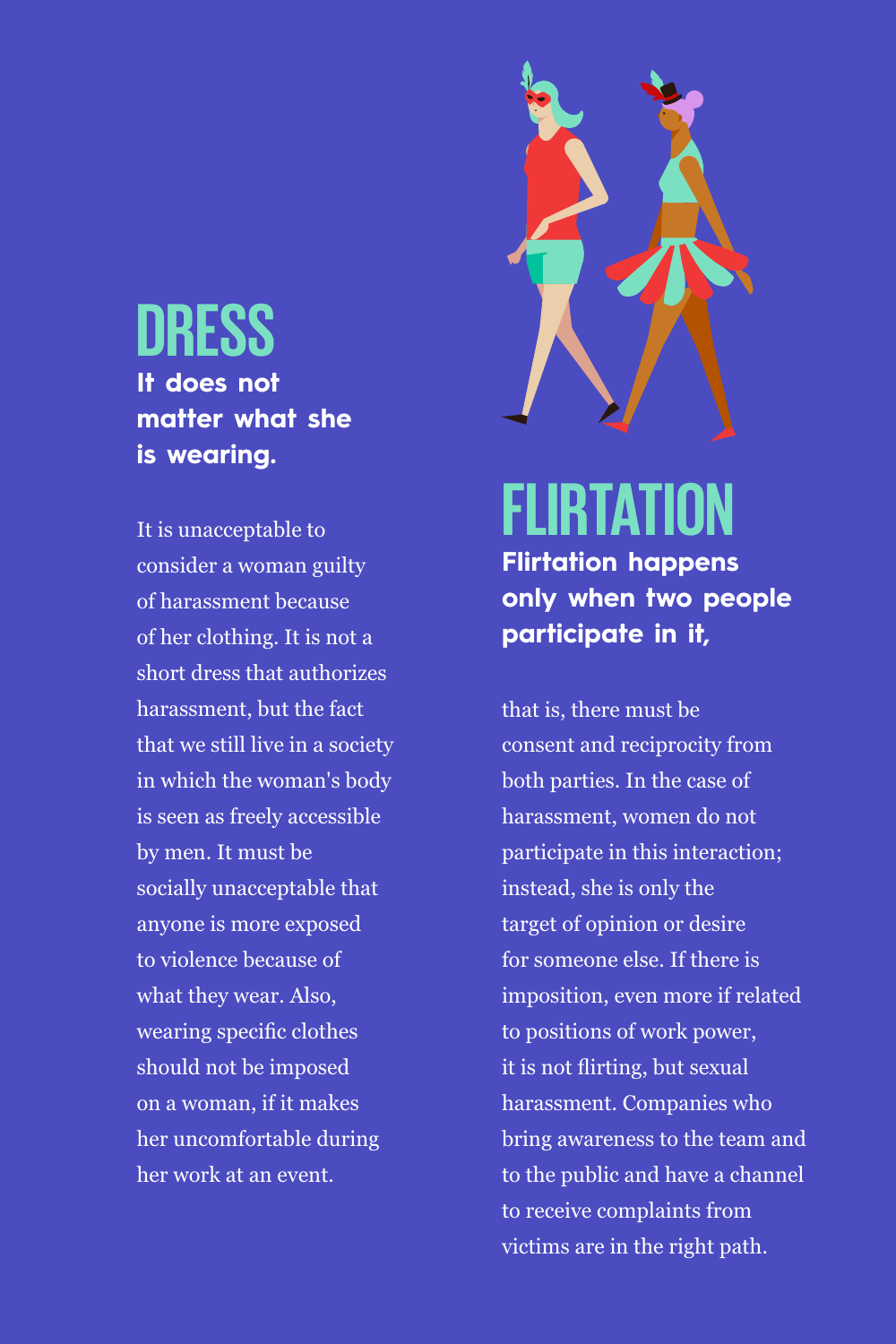## **FLIRTATION Flirtation happens only when two people participate in it,**

that is, there must be consent and reciprocity from both parties. In the case of harassment, women do not participate in this interaction; instead, she is only the target of opinion or desire for someone else. If there is imposition, even more if related to positions of work power, it is not flirting, but sexual harassment. Companies who bring awareness to the team and to the public and have a channel to receive complaints from victims are in the right path.

## **DRESS It does not matter what she is wearing.**

It is unacceptable to consider a woman guilty of harassment because of her clothing. It is not a short dress that authorizes harassment, but the fact that we still live in a society in which the woman's body is seen as freely accessible by men. It must be socially unacceptable that anyone is more exposed to violence because of what they wear. Also, wearing specific clothes should not be imposed on a woman, if it makes her uncomfortable during her work at an event.

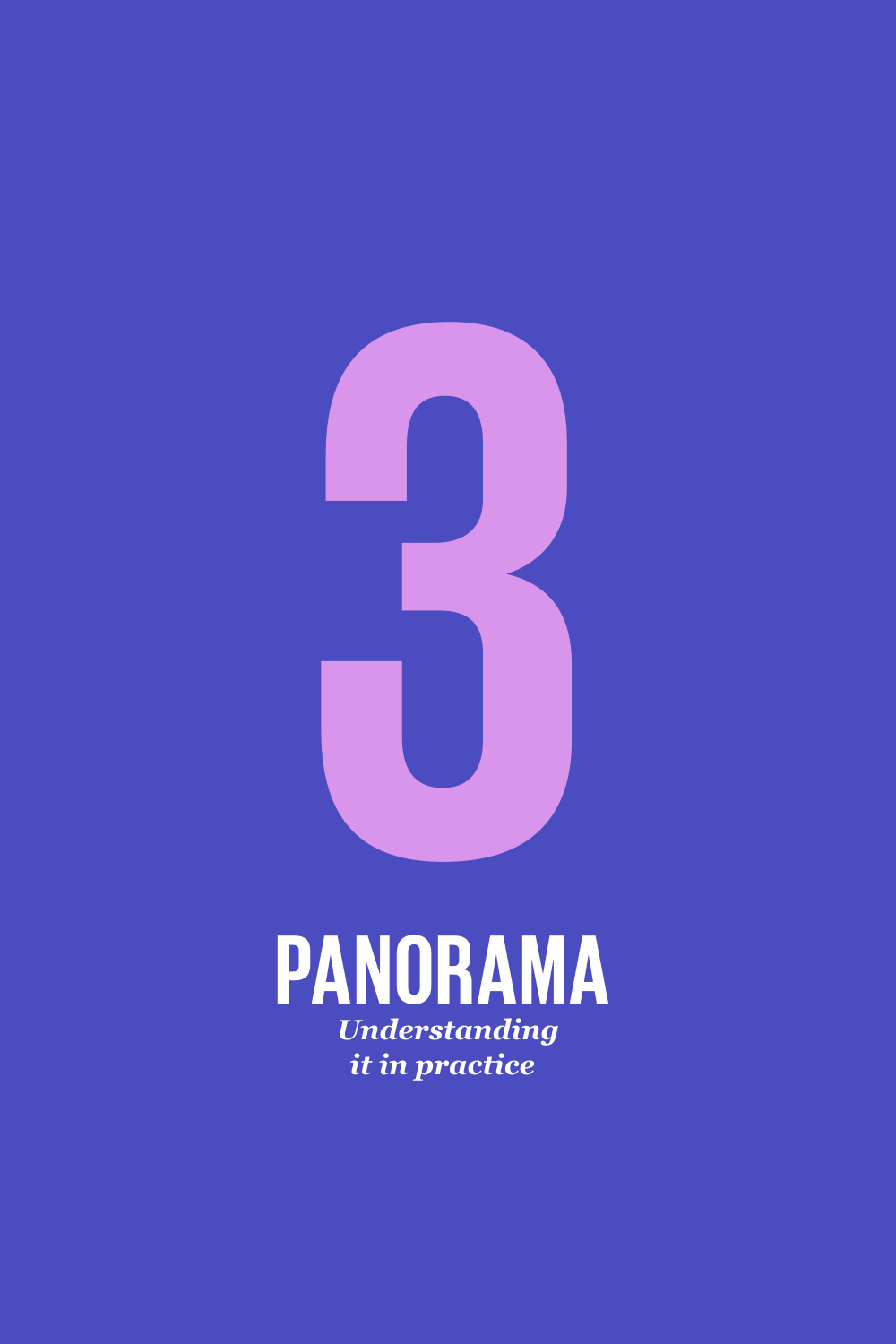

# **PANORAMA**

*Understanding it in practice*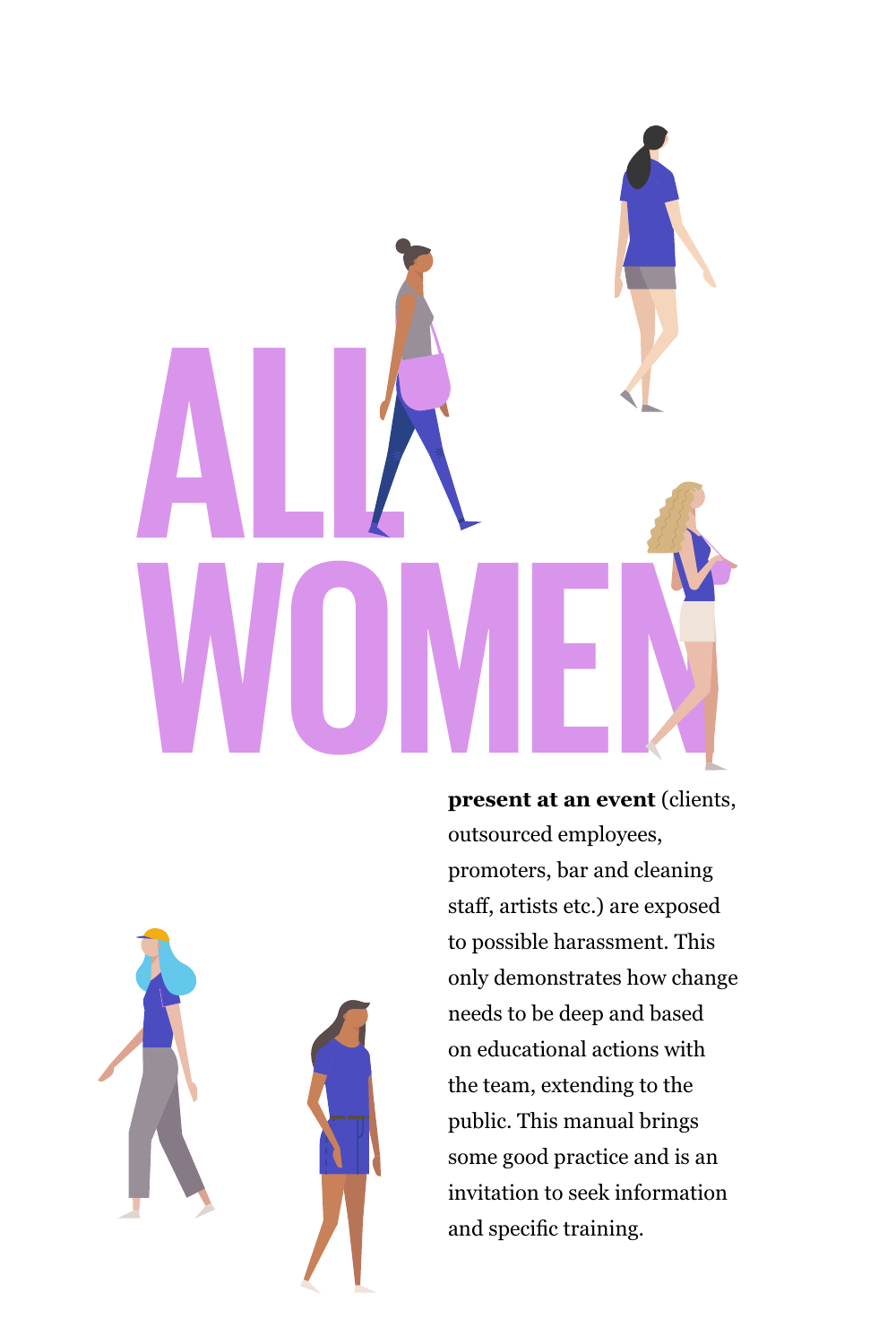**present at an event** (clients, outsourced employees, promoters, bar and cleaning staff, artists etc.) are exposed to possible harassment. This only demonstrates how change needs to be deep and based on educational actions with the team, extending to the public. This manual brings some good practice and is an invitation to seek information and specific training.



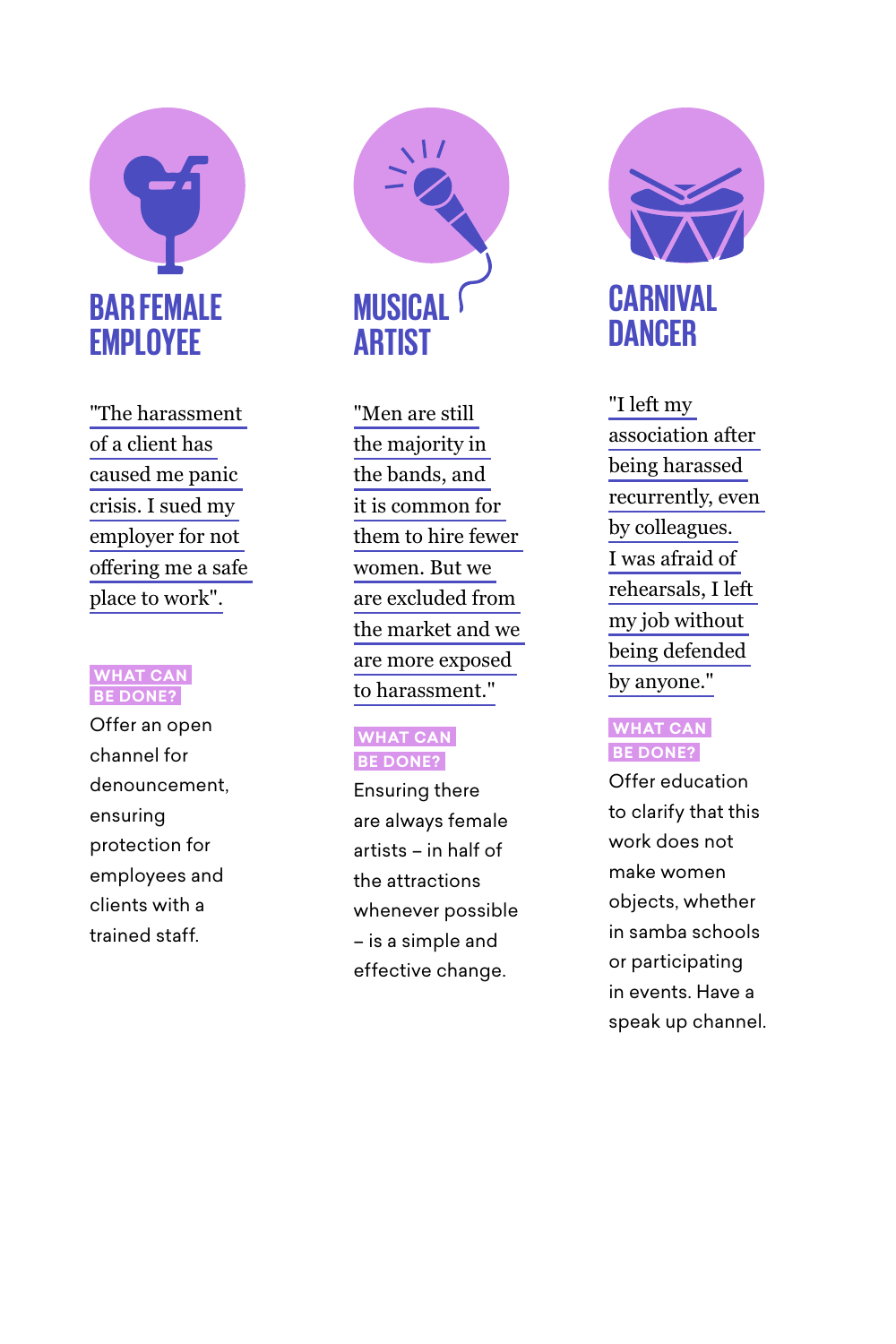

"The harassment of a client has caused me panic crisis. I sued my employer for not offering me a safe place to work".

#### **WHAT CAN BE DONE?**

Offer an open channel for denouncement, ensuring protection for employees and clients with a trained staff.



"Men are still the majority in the bands, and it is common for them to hire fewer women. But we are excluded from the market and we are more exposed to harassment."

#### **WHAT CAN BE DONE?**

Ensuring there are always female artists – in half of the attractions whenever possible – is a simple and effective change.



## **CARNIVAL DANCER**

"I left my association after being harassed recurrently, even by colleagues. I was afraid of rehearsals, I left my job without being defended by anyone."

#### **WHAT CAN BE DONE?**

Offer education to clarify that this work does not make women objects, whether in samba schools or participating in events. Have a

speak up channel.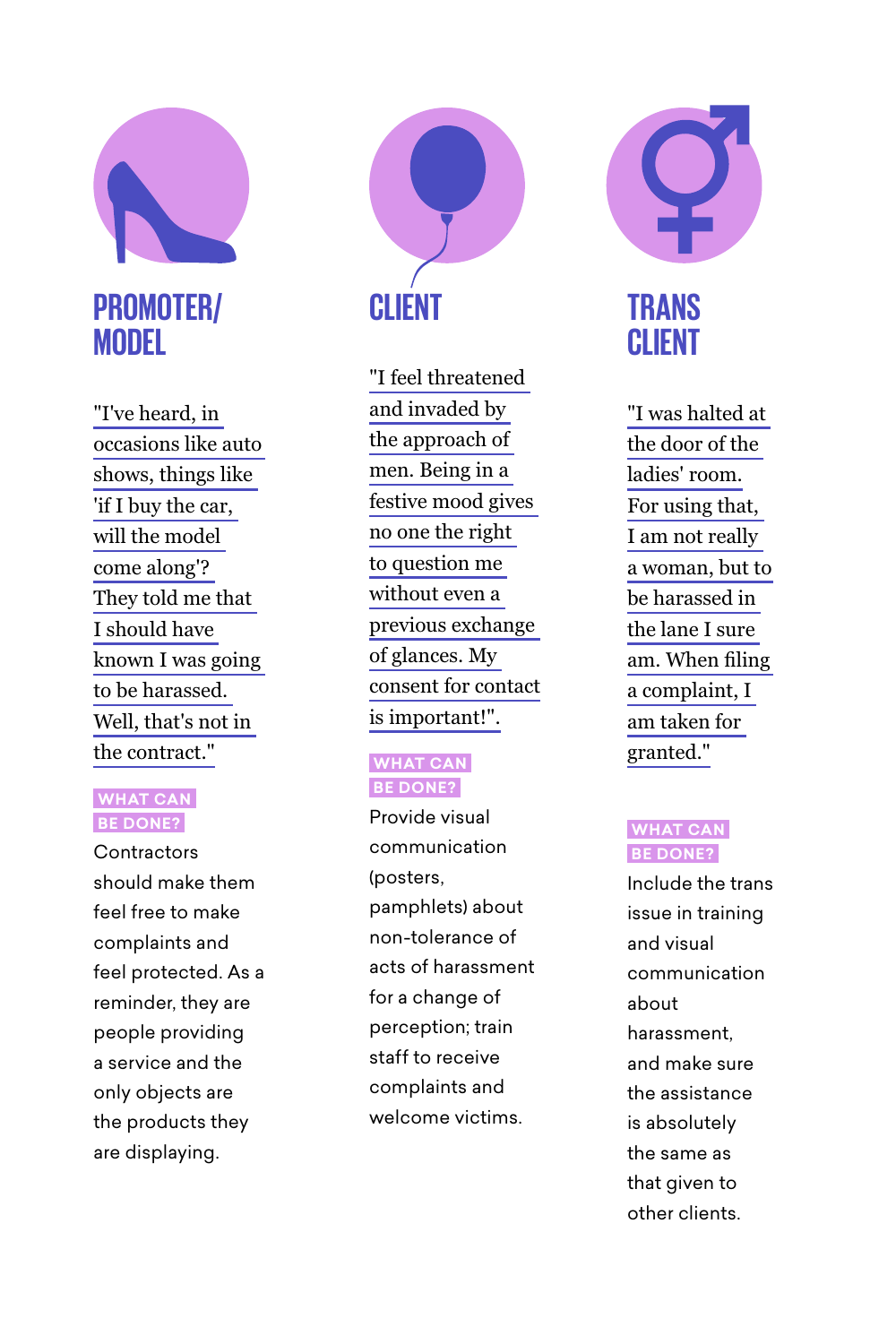

"I feel threatened and invaded by the approach of men. Being in a festive mood gives no one the right to question me without even a previous exchange of glances. My consent for contact is important!".

#### **WHAT CAN BE DONE?**

Provide visual communication (posters, pamphlets) about non-tolerance of acts of harassment for a change of perception; train staff to receive complaints and welcome victims.



## **TRANS CLIENT**

"I was halted at the door of the ladies' room. For using that, I am not really a woman, but to be harassed in the lane I sure am. When filing a complaint, I am taken for granted."

**Contractors** should make them feel free to make complaints and feel protected. As a reminder, they are people providing a service and the only objects are the products they are displaying.

#### **WHAT CAN BE DONE?**

Include the trans issue in training and visual communication about harassment, and make sure the assistance is absolutely the same as that given to other clients.



## **PROMOTER/ MODEL**

"I've heard, in occasions like auto shows, things like 'if I buy the car, will the model come along'? They told me that I should have known I was going to be harassed. Well, that's not in the contract."

#### **WHAT CAN BE DONE?**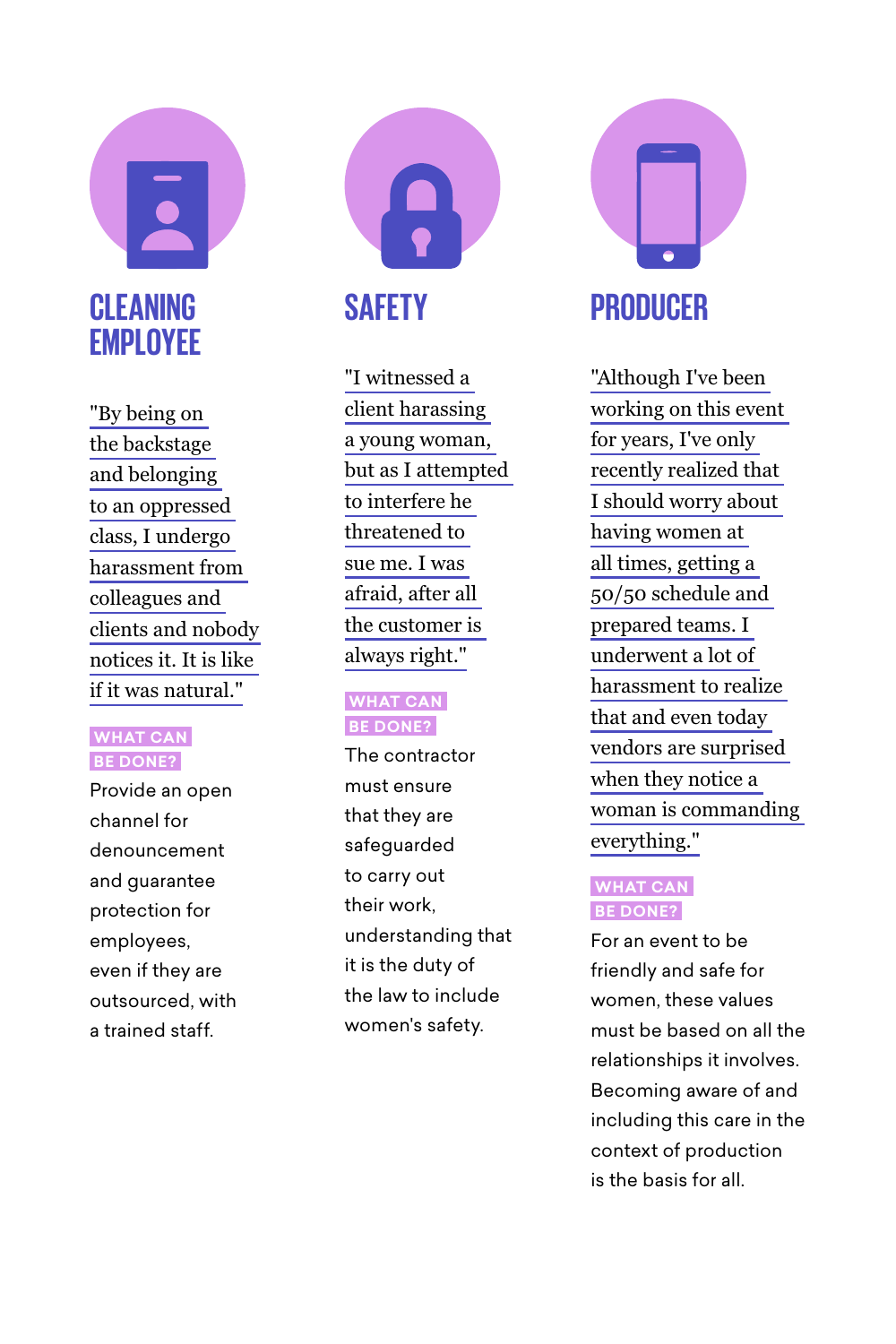**CLEANING EMPLOYEE**

"By being on the backstage and belonging to an oppressed class, I undergo harassment from colleagues and clients and nobody notices it. It is like if it was natural."

#### **WHAT CAN BE DONE?**

Provide an open channel for denouncement and guarantee protection for employees, even if they are outsourced, with

a trained staff.

# **SAFETY**

"I witnessed a client harassing a young woman, but as I attempted to interfere he threatened to sue me. I was afraid, after all the customer is always right."

#### **WHAT CAN BE DONE?**

The contractor must ensure that they are safeguarded to carry out their work, understanding that it is the duty of the law to include



women's safety.

## **PRODUCER**

"Although I've been working on this event for years, I've only recently realized that I should worry about having women at all times, getting a 50/50 schedule and prepared teams. I underwent a lot of harassment to realize that and even today vendors are surprised when they notice a woman is commanding everything."

#### **WHAT CAN BE DONE?**

For an event to be friendly and safe for women, these values

must be based on all the relationships it involves. Becoming aware of and including this care in the context of production is the basis for all.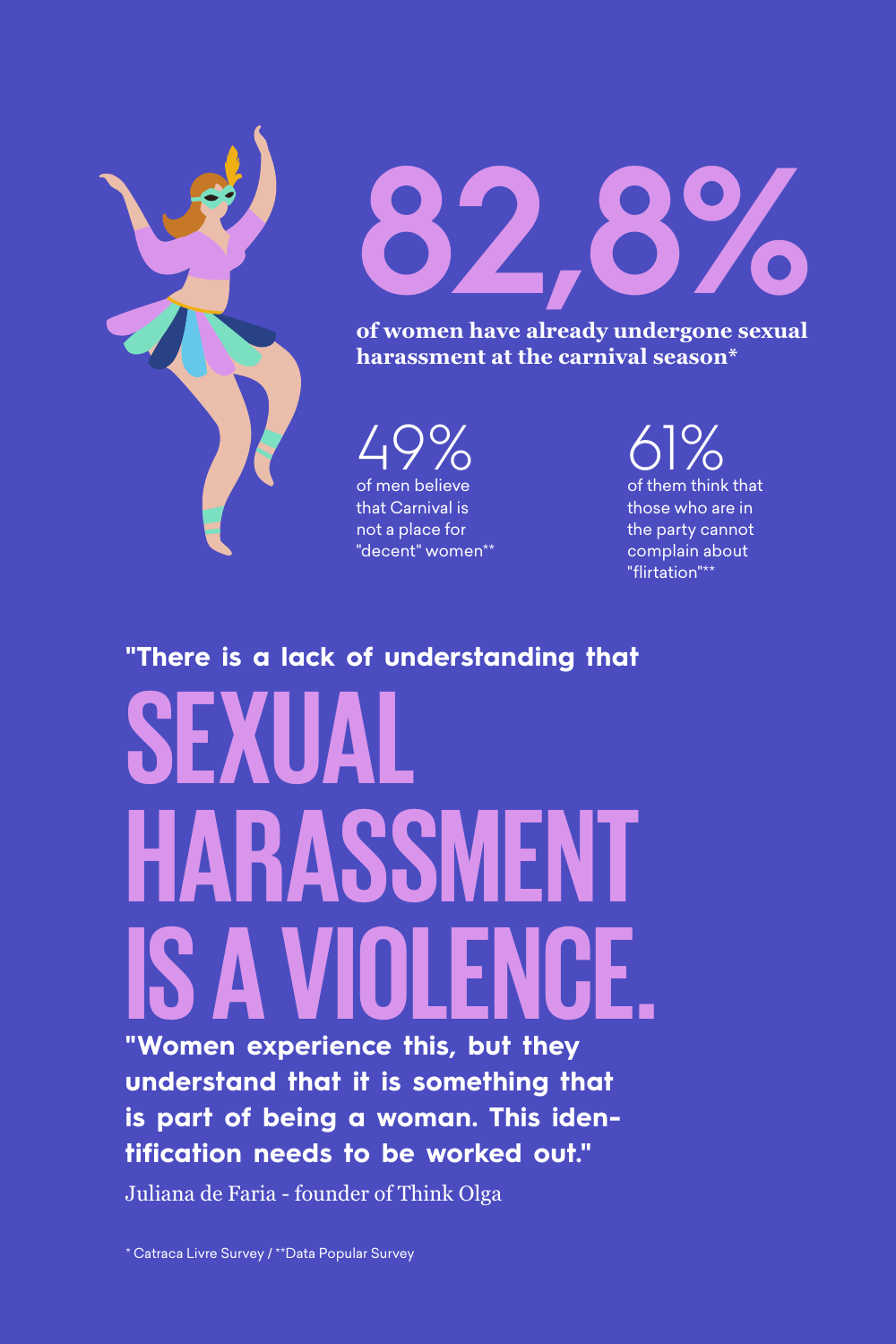49% of men believe that Carnival is not a place for "decent" women\*\*

61% of them think that those who are in the party cannot complain about "flirtation"\*\*

\* Catraca Livre Survey / \*\*Data Popular Survey





**of women have already undergone sexual harassment at the carnival season\***

**"There is a lack of understanding that SEXUAL HARASSMENT IS A VIOLENCE. "Women experience this, but they understand that it is something that is part of being a woman. This identification needs to be worked out."** Juliana de Faria - founder of Think Olga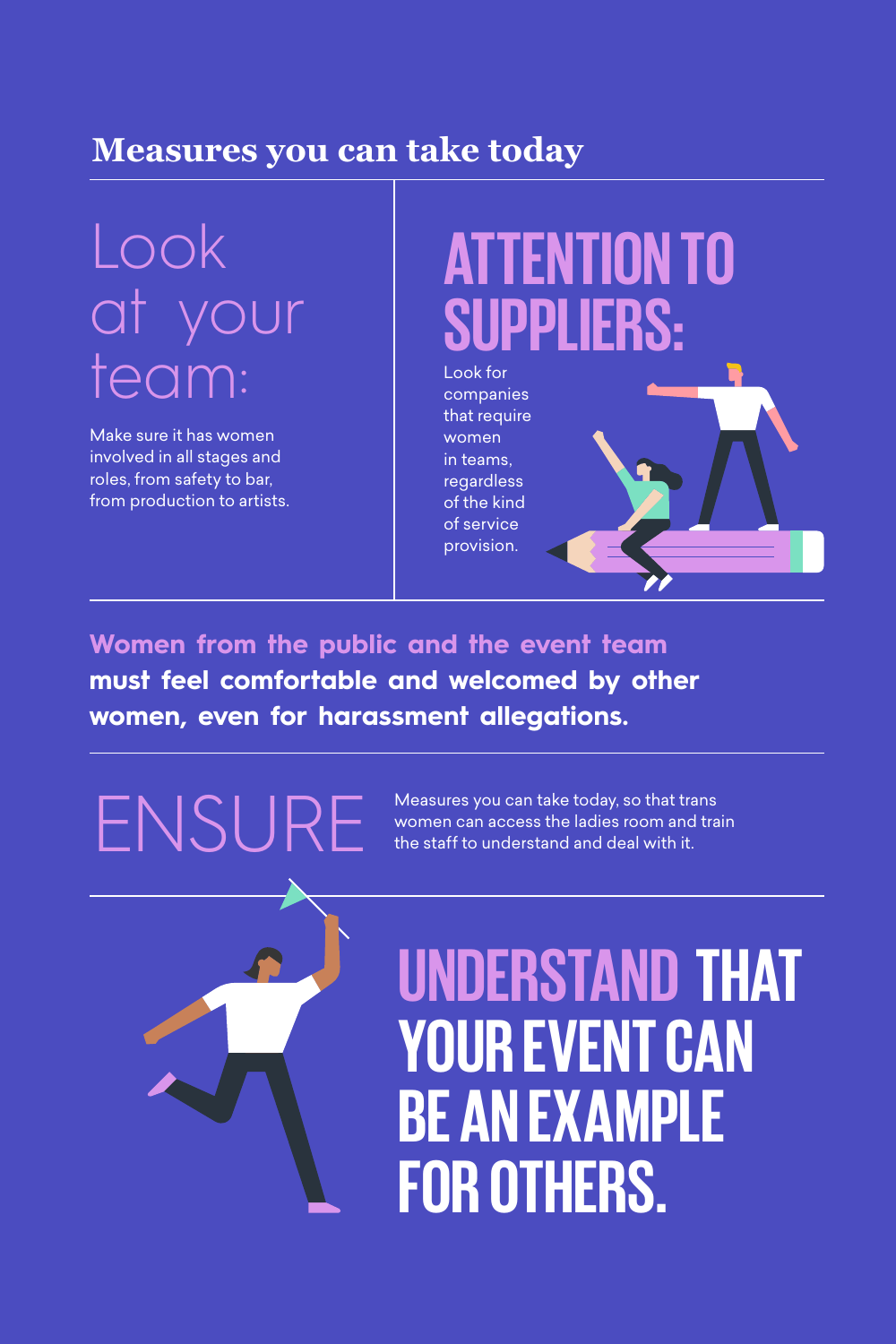ENSURE

### **Measures you can take today**

Look at your team:

> Measures you can take today, so that trans women can access the ladies room and train the staff to understand and deal with it.

Make sure it has women involved in all stages and roles, from safety to bar, from production to artists.

Look for companies that require women in teams, regardless of the kind of service provision.

# **ATTENTION TO SUPPLIERS:**

# **UNDERSTAND THAT**



**Women from the public and the event team must feel comfortable and welcomed by other women, even for harassment allegations.**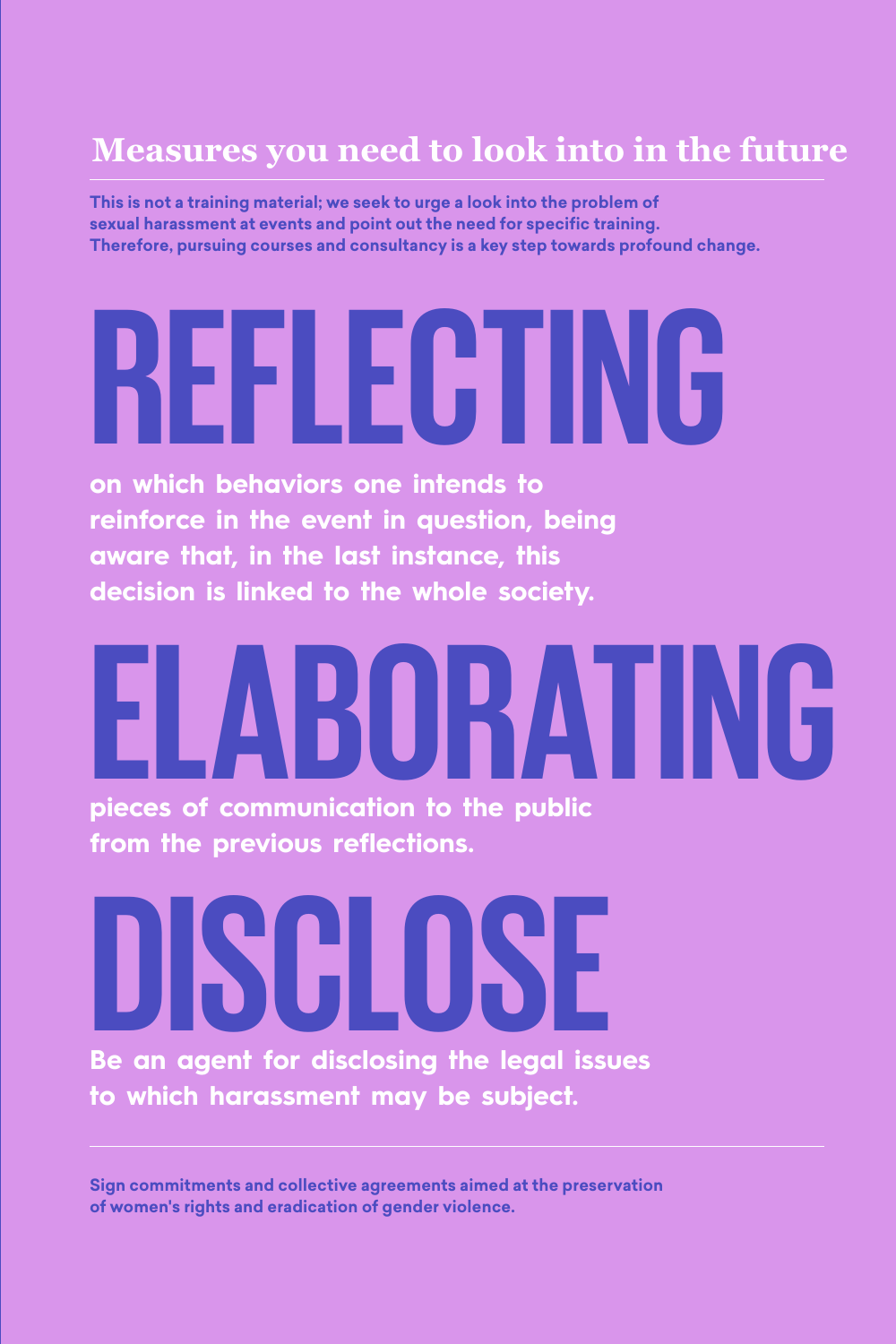## **Measures you need to look into in the future**

**This is not a training material; we seek to urge a look into the problem of sexual harassment at events and point out the need for specific training. Therefore, pursuing courses and consultancy is a key step towards profound change.**

**Sign commitments and collective agreements aimed at the preservation of women's rights and eradication of gender violence.**

# **REFLECTING**

# **ELABORATING**

**on which behaviors one intends to reinforce in the event in question, being aware that, in the last instance, this decision is linked to the whole society.**

# **DISCLOSE Be an agent for disclosing the legal issues to which harassment may be subject.**

**pieces of communication to the public from the previous reflections.**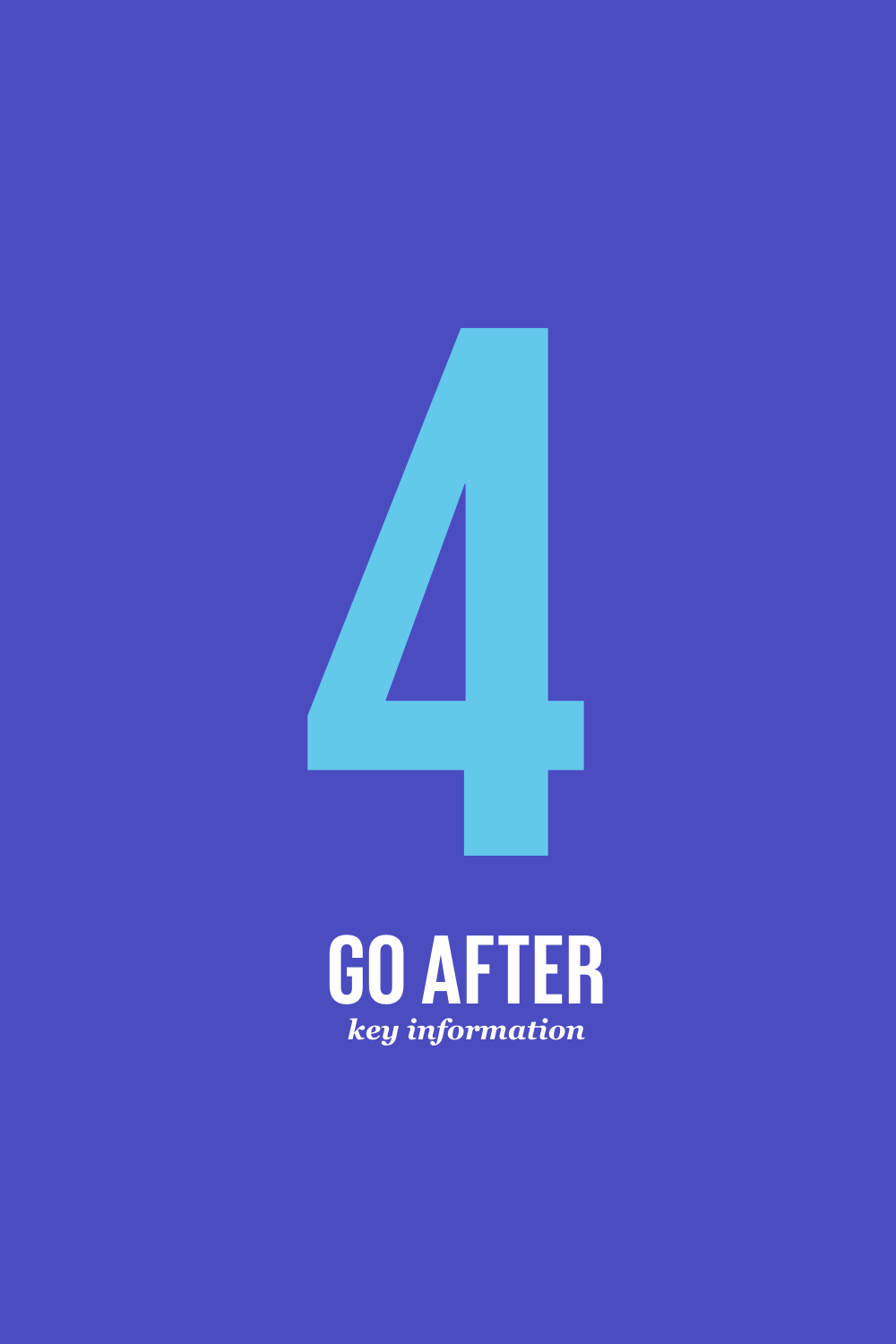

# **GO AFTER**

### *key information*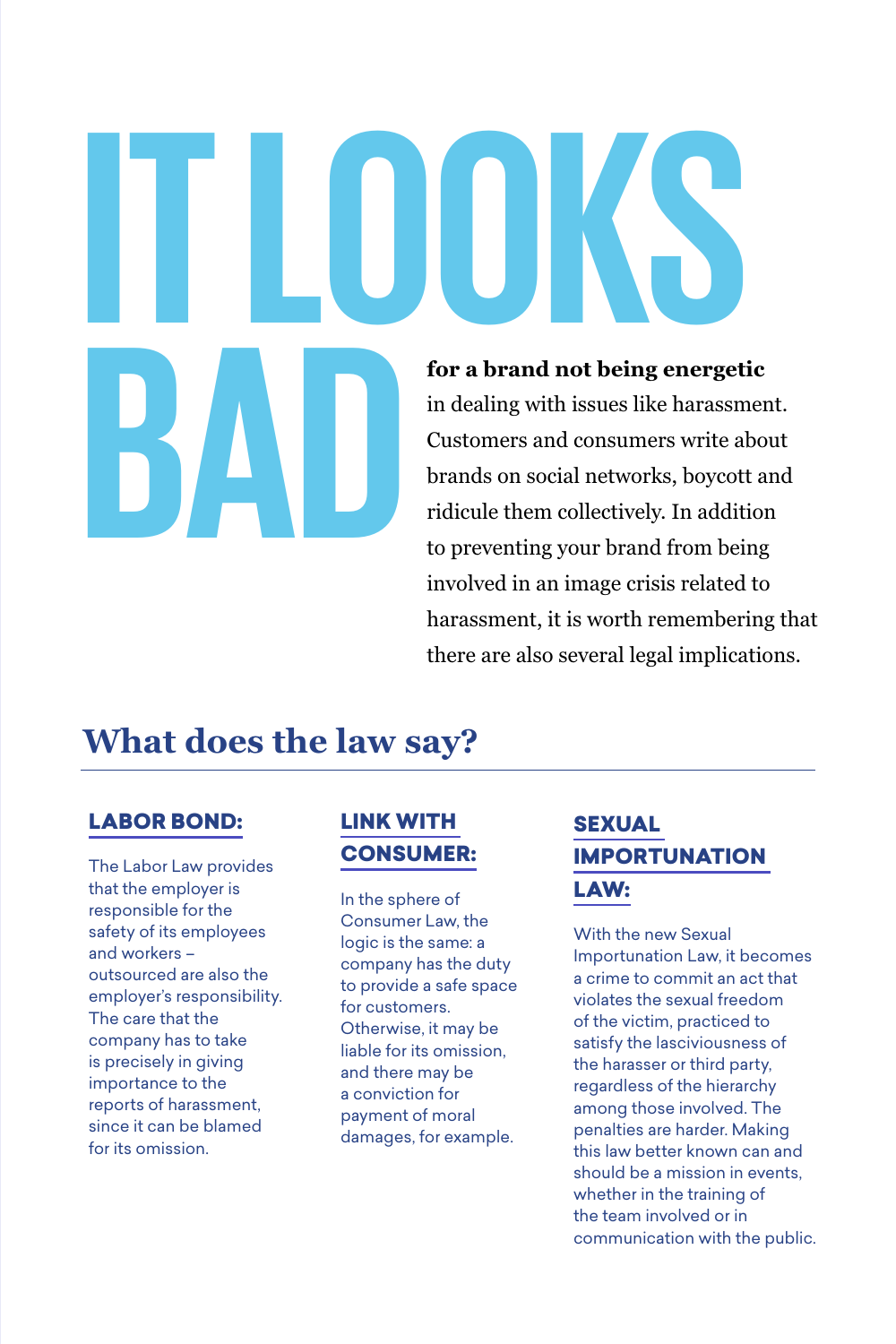## **What does the law say?**

# **IT LOOKS BAD**

#### LABOR BOND:

The Labor Law provides that the employer is responsible for the safety of its employees and workers – outsourced are also the employer's responsibility. The care that the company has to take is precisely in giving importance to the reports of harassment, since it can be blamed for its omission.

#### LINK WITH CONSUMER:

In the sphere of Consumer Law, the logic is the same: a company has the duty to provide a safe space for customers. Otherwise, it may be liable for its omission, and there may be a conviction for payment of moral damages, for example.

### SEXUAL IMPORTUNATION LAW:

With the new Sexual Importunation Law, it becomes a crime to commit an act that violates the sexual freedom

of the victim, practiced to satisfy the lasciviousness of the harasser or third party, regardless of the hierarchy among those involved. The penalties are harder. Making this law better known can and should be a mission in events, whether in the training of the team involved or in communication with the public.

**for a brand not being energetic**  in dealing with issues like harassment. Customers and consumers write about brands on social networks, boycott and ridicule them collectively. In addition to preventing your brand from being involved in an image crisis related to harassment, it is worth remembering that there are also several legal implications.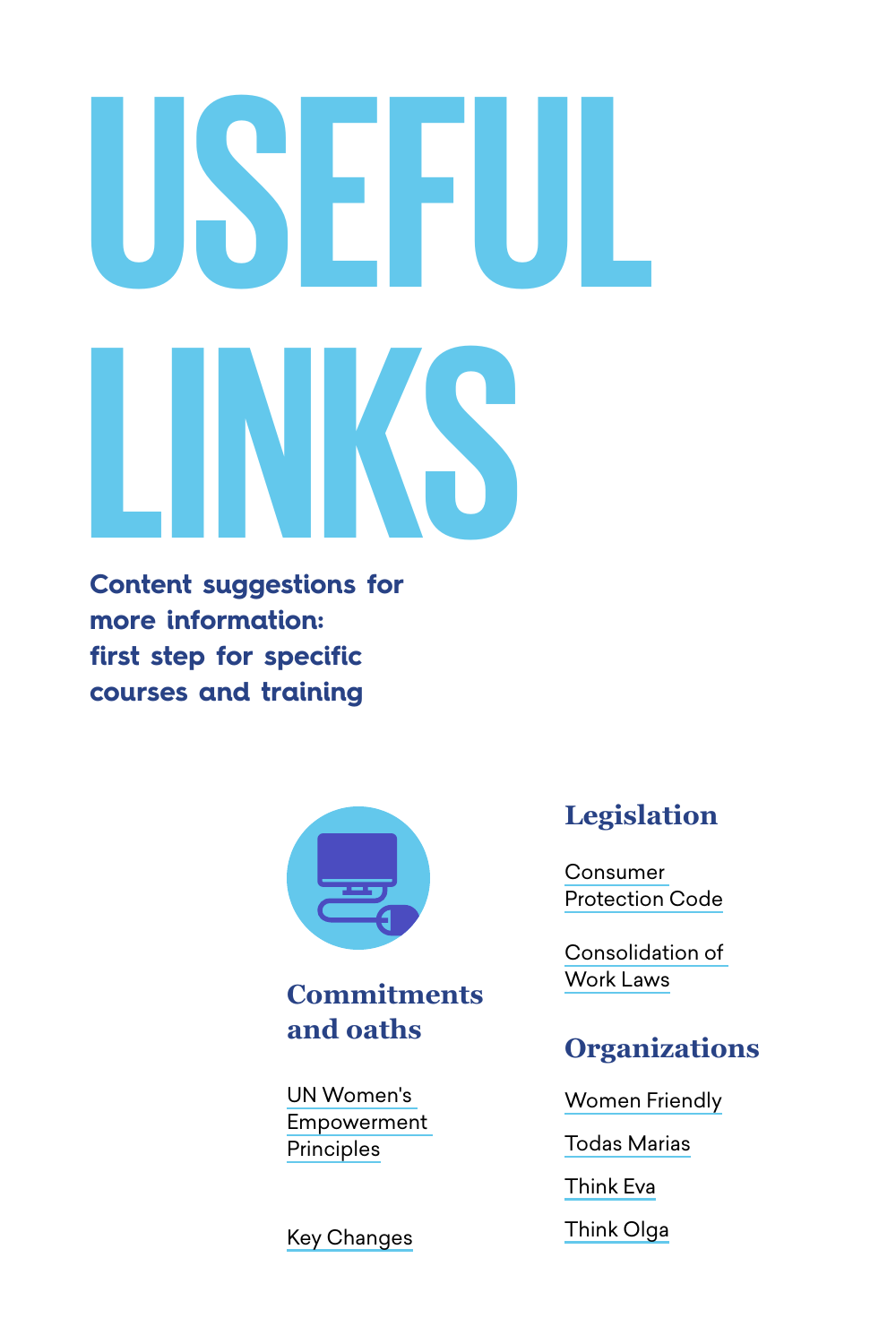**Commitments** 

#### **and oaths**

**Content suggestions for more information: first step for specific courses and training**



# **USEFUL LINKS**

### **Legislation**

UN Women's [Empowerment](http://www.onumulheres.org.br/16dias/)  Principles

[Key Changes](http://www.keychanges.org.uk/)

Consumer [Protection Code](http://www.planalto.gov.br/ccivil_03/Leis/L8078.htm)

[Consolidation of](http://www.trtsp.jus.br/geral/tribunal2/LEGIS/CLT/capa_clt_dinamica.htm)  Work Laws

### **Organizations**

[Women Friendly](https://www.womenfriendly.com.br/)

[Todas Marias](https://www.facebook.com/OngTodasMarias/)

[Think Eva](http://www.thinkeva.com.br/)

[Think Olga](https://thinkolga.com/)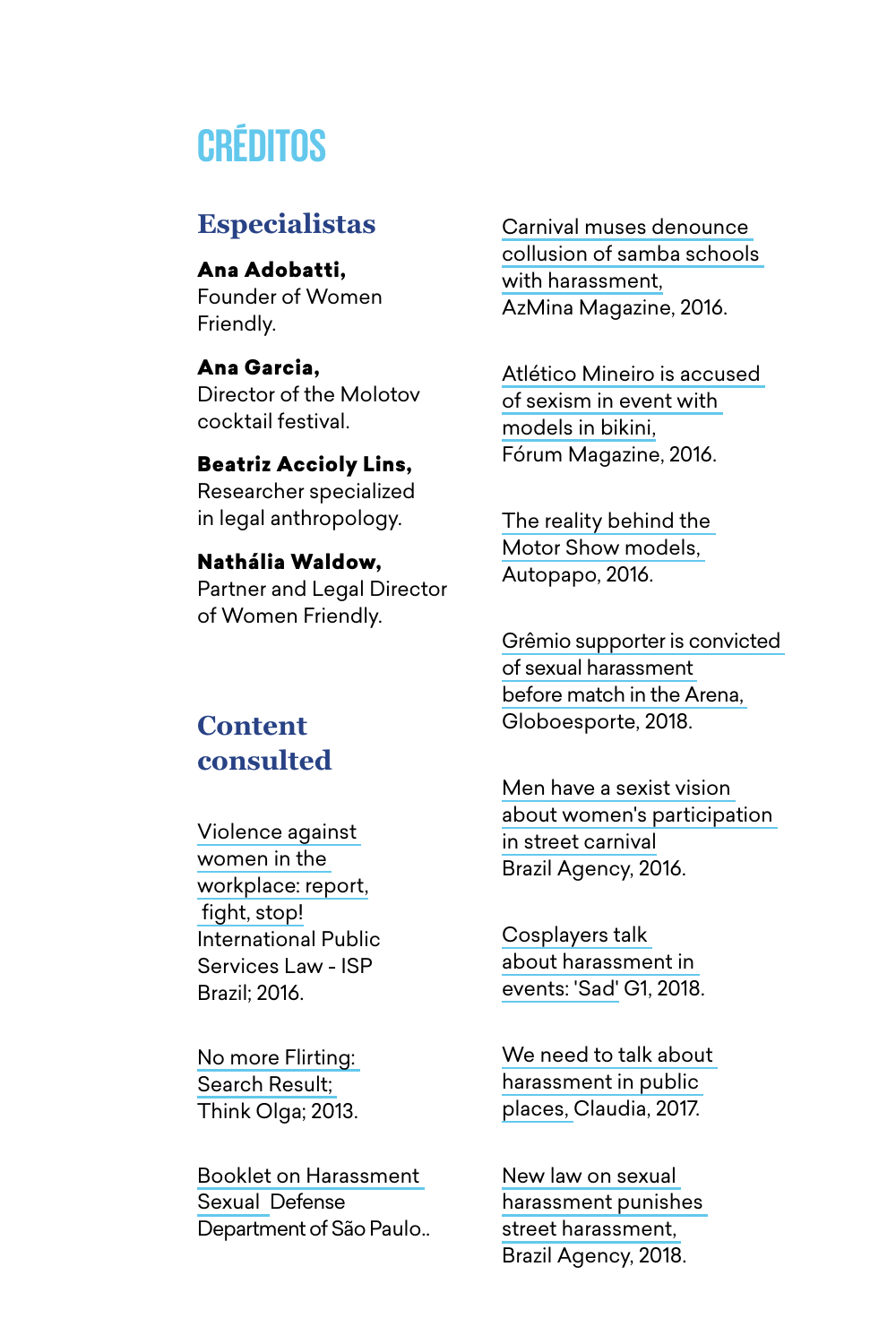## **CRÉDITOS**

### **Especialistas**

Ana Adobatti, Founder of Women Friendly.

Ana Garcia, Director of the Molotov cocktail festival.

Beatriz Accioly Lins, Researcher specialized in legal anthropology.

Nathália Waldow, Partner and Legal Director of Women Friendly.

### **Content consulted**

Violence against women in the workplace: report, fight, stop! [International Public](https://www.condsef.org.br/images/ISP_MULHERES_BLACK_PANTONE_262U.pdf)  Services Law - ISP Brazil; 2016.

[No more Flirting:](https://olga-project.herokuapp.com/2013/09/09/chega-de-fiu-fiu-resultado-da-pesquisa/)  Search Result; Think Olga; 2013.

[Booklet on Harassment](https://www.defensoria.sp.def.br/dpesp/repositorio/41/FolderAssedio.pdf) 

Sexual Defense

Department of São Paulo..

Carnival muses denounce [collusion of samba schools](https://azmina.com.br/reportagens/musas-do-carnaval-denunciam-conivencia-de-agencias-e-escolas-de-samba-com-assedio/?fbclid=IwAR315L7CqKQLBtShaIrWIzYoAXBI62-gJSwHm0Dub9u9oiPAL6KQbxZ5a4A)  with harassment, AzMina Magazine, 2016.

[Atlético Mineiro is accused](https://www.revistaforum.com.br/atletico-mineiro-e-acusado-de-machismo-em-evento-com-modelos-de-biquini/)  of sexism in event with models in bikini, Fórum Magazine, 2016.

[The reality behind the](https://autopapo.com.br/noticia/preconceito-modelo-salao-automovel/)  Motor Show models, Autopapo, 2016.

[Grêmio supporter is convicted](https://globoesporte.globo.com/rs/futebol/noticia/torcedor-gremista-e-condenado-por-assedio-antes-de-jogo-da-libertadores.ghtml)  of sexual harassment before match in the Arena, Globoesporte, 2018.

Men have a sexist vision [about women's participation](http://agenciabrasil.ebc.com.br/cultura/noticia/2016-02/homens-tem-visao-machista-sobre-participacao-da-mulher-no-carnaval-de-rua)  in street carnival Brazil Agency, 2016.

Cosplayers talk [about harassment in](https://g1.globo.com/sp/santos-regiao/educacao/noticia/2018/12/08/praticantes-de-cosplay-denunciam-assedio-sexual-em-eventos-muito-triste.ghtml)  events: 'Sad' G1, 2018.

[We need to talk about](https://claudia.abril.com.br/noticias/precisamos-falar-sobre-assedio-em-lugares-publicos/)  harassment in public places, Claudia, 2017.

New law on sexual [harassment punishes](http://agenciabrasil.ebc.com.br/direitos-humanos/noticia/2018-09/nova-lei-de-importunacao-sexual-pune-assedio-na-rua)  street harassment,

Brazil Agency, 2018.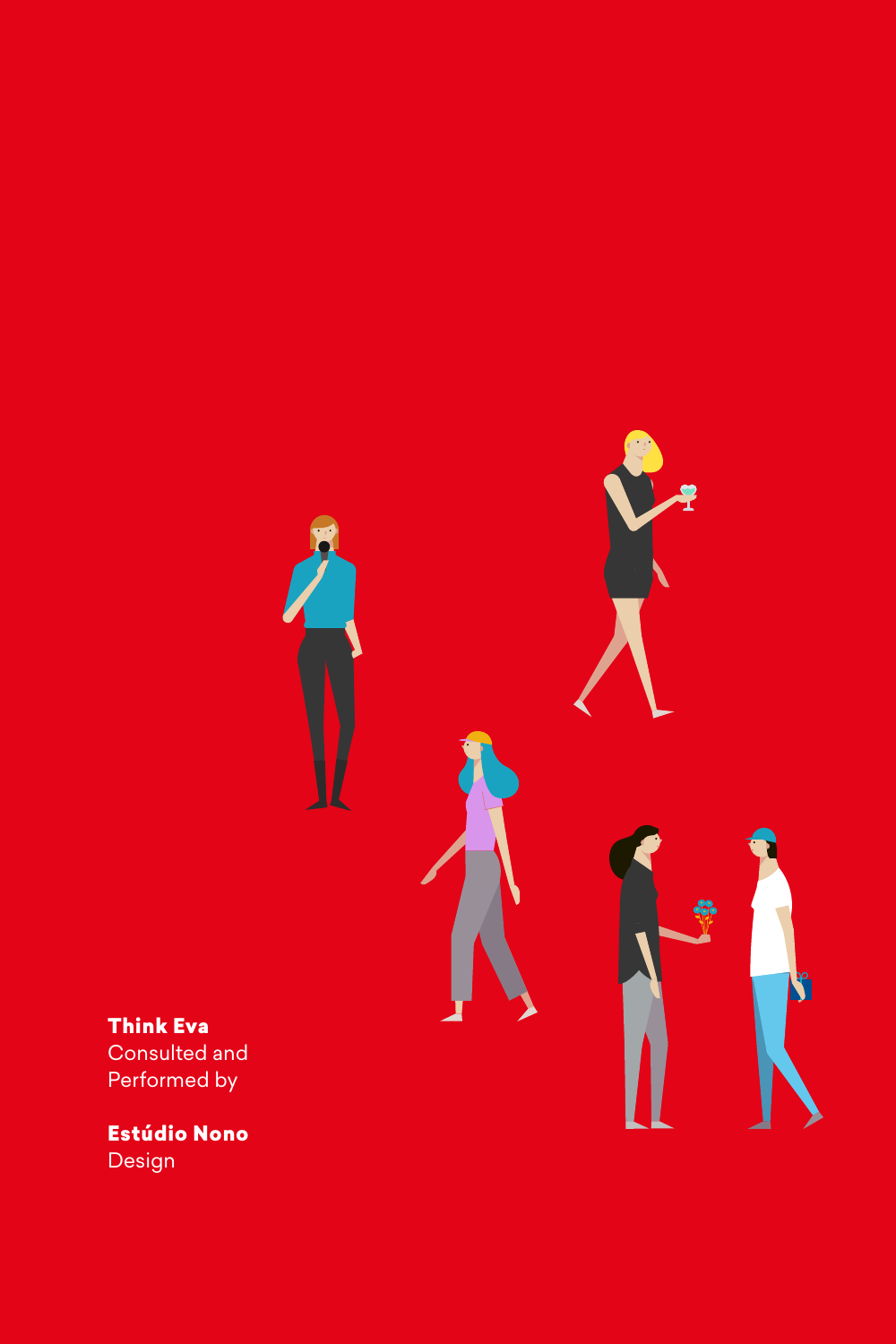

Think Eva Consulted and Performed by

Estúdio Nono Design